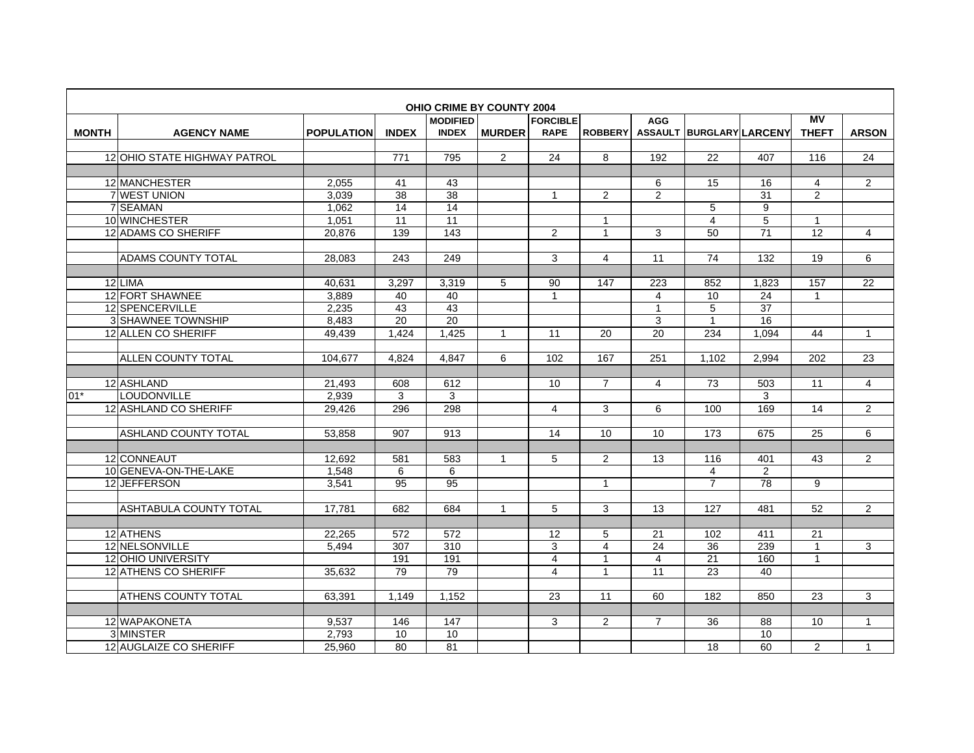|              | <b>OHIO CRIME BY COUNTY 2004</b><br>MV<br><b>MODIFIED</b><br><b>FORCIBLE</b><br><b>AGG</b><br>ASSAULT BURGLARY LARCENY |                   |                 |                 |                |                |                         |                 |                 |                 |                  |                |  |  |  |
|--------------|------------------------------------------------------------------------------------------------------------------------|-------------------|-----------------|-----------------|----------------|----------------|-------------------------|-----------------|-----------------|-----------------|------------------|----------------|--|--|--|
|              |                                                                                                                        |                   |                 |                 |                |                |                         |                 |                 |                 |                  |                |  |  |  |
| <b>MONTH</b> | <b>AGENCY NAME</b>                                                                                                     | <b>POPULATION</b> | <b>INDEX</b>    | <b>INDEX</b>    | <b>MURDER</b>  | <b>RAPE</b>    | <b>ROBBERY</b>          |                 |                 |                 | <b>THEFT</b>     | <b>ARSON</b>   |  |  |  |
|              |                                                                                                                        |                   |                 |                 |                |                |                         |                 |                 |                 |                  |                |  |  |  |
|              | 12 OHIO STATE HIGHWAY PATROL                                                                                           |                   | 771             | 795             | $\overline{2}$ | 24             | 8                       | 192             | 22              | 407             | 116              | 24             |  |  |  |
|              |                                                                                                                        |                   |                 |                 |                |                |                         |                 |                 |                 |                  |                |  |  |  |
|              | 12 MANCHESTER                                                                                                          | 2,055             | 41              | 43              |                |                |                         | 6               | 15              | 16              | $\overline{4}$   | $\overline{2}$ |  |  |  |
|              | 7 WEST UNION                                                                                                           | 3,039             | 38              | 38              |                | $\mathbf{1}$   | 2                       | $\overline{2}$  |                 | $\overline{31}$ | 2                |                |  |  |  |
|              | 7 SEAMAN                                                                                                               | 1.062             | 14              | $\overline{14}$ |                |                |                         |                 | 5               | 9               |                  |                |  |  |  |
|              | 10 WINCHESTER                                                                                                          | 1,051             | 11              | 11              |                |                | 1                       |                 | $\overline{4}$  | 5               | $\overline{1}$   |                |  |  |  |
|              | 12 ADAMS CO SHERIFF                                                                                                    | 20.876            | 139             | 143             |                | $\overline{2}$ | $\mathbf{1}$            | 3               | 50              | $\overline{71}$ | 12               | $\overline{4}$ |  |  |  |
|              |                                                                                                                        |                   |                 |                 |                |                |                         |                 |                 |                 |                  |                |  |  |  |
|              | <b>ADAMS COUNTY TOTAL</b>                                                                                              | 28,083            | 243             | 249             |                | 3              | $\overline{4}$          | 11              | $\overline{74}$ | 132             | $\overline{19}$  | 6              |  |  |  |
|              |                                                                                                                        |                   |                 |                 |                |                |                         |                 |                 |                 |                  |                |  |  |  |
|              | 12LIMA                                                                                                                 | 40,631            | 3,297           | 3,319           | 5              | 90             | 147                     | 223             | 852             | 1,823           | 157              | 22             |  |  |  |
|              | 12 FORT SHAWNEE                                                                                                        | 3,889             | 40              | 40              |                | 1              |                         | $\overline{4}$  | 10              | 24              | $\mathbf{1}$     |                |  |  |  |
|              | 12 SPENCERVILLE                                                                                                        | 2.235             | 43              | 43              |                |                |                         | $\mathbf{1}$    | 5               | $\overline{37}$ |                  |                |  |  |  |
|              | 3 SHAWNEE TOWNSHIP                                                                                                     | 8,483             | $\overline{20}$ | 20              |                |                |                         | 3               | $\mathbf{1}$    | 16              |                  |                |  |  |  |
|              | 12 ALLEN CO SHERIFF                                                                                                    | 49.439            | 1.424           | 1,425           | $\mathbf{1}$   | 11             | 20                      | $\overline{20}$ | 234             | 1,094           | 44               | $\mathbf{1}$   |  |  |  |
|              |                                                                                                                        |                   |                 |                 |                |                |                         |                 |                 |                 |                  |                |  |  |  |
|              | <b>ALLEN COUNTY TOTAL</b>                                                                                              | 104,677           | 4,824           | 4.847           | 6              | 102            | 167                     | 251             | 1,102           | 2.994           | $\overline{202}$ | 23             |  |  |  |
|              |                                                                                                                        |                   |                 |                 |                |                |                         |                 |                 |                 |                  |                |  |  |  |
|              | 12 ASHLAND                                                                                                             | 21.493            | 608             | 612             |                | 10             | $\overline{7}$          | $\overline{4}$  | $\overline{73}$ | 503             | 11               | $\overline{4}$ |  |  |  |
| $01*$        | <b>LOUDONVILLE</b>                                                                                                     | 2.939             | 3               | 3               |                |                |                         |                 |                 | 3               |                  |                |  |  |  |
|              | 12 ASHLAND CO SHERIFF                                                                                                  | 29,426            | 296             | 298             |                | 4              | 3                       | 6               | 100             | 169             | 14               | $\overline{2}$ |  |  |  |
|              |                                                                                                                        |                   |                 |                 |                |                |                         |                 |                 |                 |                  |                |  |  |  |
|              | <b>ASHLAND COUNTY TOTAL</b>                                                                                            | 53,858            | 907             | 913             |                | 14             | 10                      | 10              | 173             | 675             | 25               | 6              |  |  |  |
|              |                                                                                                                        |                   |                 |                 |                |                |                         |                 |                 |                 |                  |                |  |  |  |
|              | 12 CONNEAUT                                                                                                            | 12.692            | 581             | 583             | 1              | 5              | 2                       | 13              | 116             | 401             | 43               | 2              |  |  |  |
|              | 10 GENEVA-ON-THE-LAKE                                                                                                  | 1.548             | 6               | 6               |                |                |                         |                 | $\overline{4}$  | 2               |                  |                |  |  |  |
|              | 12 JEFFERSON                                                                                                           | 3,541             | $\overline{95}$ | $\overline{95}$ |                |                | $\mathbf{1}$            |                 | $\overline{7}$  | $\overline{78}$ | 9                |                |  |  |  |
|              |                                                                                                                        |                   |                 |                 |                |                |                         |                 |                 |                 |                  |                |  |  |  |
|              | <b>ASHTABULA COUNTY TOTAL</b>                                                                                          | 17,781            | 682             | 684             | $\mathbf{1}$   | 5              | 3                       | 13              | 127             | 481             | $\overline{52}$  | $\overline{2}$ |  |  |  |
|              |                                                                                                                        |                   |                 |                 |                |                |                         |                 |                 |                 |                  |                |  |  |  |
|              | 12 ATHENS                                                                                                              | 22,265            | 572             | 572             |                | 12             | 5                       | 21              | 102             | 411             | 21               |                |  |  |  |
|              | 12 NELSONVILLE                                                                                                         | 5,494             | 307             | 310             |                | 3              | $\overline{\mathbf{4}}$ | 24              | 36              | 239             | $\mathbf{1}$     | 3              |  |  |  |
|              | 12 OHIO UNIVERSITY                                                                                                     |                   | 191             | 191             |                | $\overline{4}$ | $\mathbf{1}$            | 4               | 21              | 160             | $\mathbf{1}$     |                |  |  |  |
|              | <b>12 ATHENS CO SHERIFF</b>                                                                                            | 35,632            | 79              | 79              |                | $\overline{4}$ | $\mathbf{1}$            | 11              | $\overline{23}$ | 40              |                  |                |  |  |  |
|              |                                                                                                                        |                   |                 |                 |                |                |                         |                 |                 |                 |                  |                |  |  |  |
|              | <b>ATHENS COUNTY TOTAL</b>                                                                                             | 63,391            | 1.149           | 1.152           |                | 23             | 11                      | 60              | 182             | 850             | 23               | 3              |  |  |  |
|              |                                                                                                                        |                   |                 |                 |                |                |                         |                 |                 |                 |                  |                |  |  |  |
|              | 12 WAPAKONETA                                                                                                          | 9.537             | 146             | 147             |                | 3              | $\overline{2}$          | $\overline{7}$  | 36              | 88              | 10               | $\mathbf{1}$   |  |  |  |
|              | 3 MINSTER                                                                                                              | 2,793             | 10              | 10              |                |                |                         |                 |                 | 10              |                  |                |  |  |  |
|              | 12 AUGLAIZE CO SHERIFF                                                                                                 | 25,960            | $\overline{80}$ | 81              |                |                |                         |                 | 18              | 60              | $\overline{2}$   | $\mathbf{1}$   |  |  |  |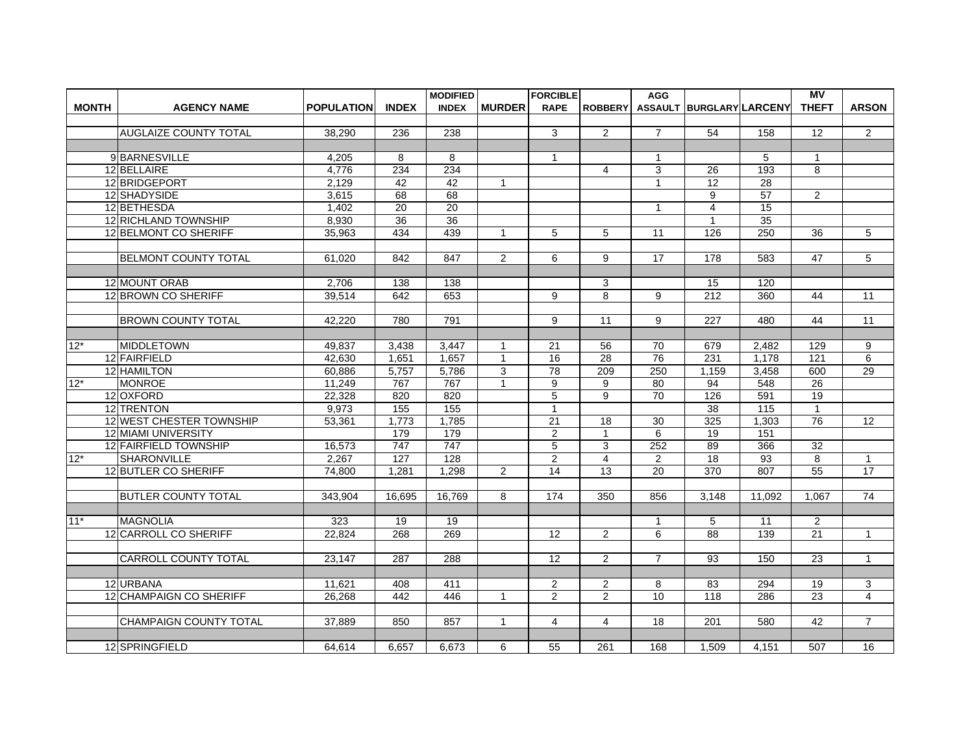|              |                                            |                   |                 | <b>MODIFIED</b> |                | <b>FORCIBLE</b> |                         | <b>AGG</b>        |                          |                  | <b>MV</b>            |                                |
|--------------|--------------------------------------------|-------------------|-----------------|-----------------|----------------|-----------------|-------------------------|-------------------|--------------------------|------------------|----------------------|--------------------------------|
| <b>MONTH</b> | <b>AGENCY NAME</b>                         | <b>POPULATION</b> | <b>INDEX</b>    | <b>INDEX</b>    | <b>MURDER</b>  | <b>RAPE</b>     | <b>ROBBERY</b>          |                   | ASSAULT BURGLARY LARCENY |                  | <b>THEFT</b>         | <b>ARSON</b>                   |
|              |                                            |                   |                 |                 |                |                 |                         |                   |                          |                  |                      |                                |
|              | <b>AUGLAIZE COUNTY TOTAL</b>               | 38.290            | 236             | 238             |                | 3               | 2                       | $\overline{7}$    | 54                       | 158              | 12                   | $\overline{2}$                 |
|              |                                            |                   |                 |                 |                |                 |                         |                   |                          |                  |                      |                                |
|              | 9BARNESVILLE                               | 4,205             | 8               | 8               |                | 1               |                         | 1                 |                          | 5                | $\mathbf 1$          |                                |
|              | 12 BELLAIRE                                | 4,776             | 234             | 234             |                |                 | $\overline{4}$          | 3                 | 26                       | 193              | 8                    |                                |
|              | 12 BRIDGEPORT                              | 2,129             | 42              | 42              | $\mathbf{1}$   |                 |                         | 1                 | $\overline{12}$          | $\overline{28}$  |                      |                                |
|              | 12 SHADYSIDE                               | 3,615             | 68              | 68              |                |                 |                         |                   | 9                        | 57               | $\overline{2}$       |                                |
|              | 12 BETHESDA                                | 1.402             | $\overline{20}$ | 20              |                |                 |                         | $\mathbf{1}$      | $\overline{4}$           | 15               |                      |                                |
|              | 12 RICHLAND TOWNSHIP                       | 8.930             | 36              | 36              |                |                 |                         |                   | $\mathbf{1}$             | 35               |                      |                                |
|              | 12 BELMONT CO SHERIFF                      | 35,963            | 434             | 439             | $\mathbf{1}$   | 5               | 5                       | 11                | 126                      | $\overline{250}$ | 36                   | 5                              |
|              |                                            |                   |                 |                 |                |                 |                         |                   |                          |                  |                      |                                |
|              | BELMONT COUNTY TOTAL                       | 61.020            | 842             | 847             | $\overline{2}$ | 6               | 9                       | 17                | 178                      | 583              | 47                   | 5                              |
|              |                                            |                   |                 |                 |                |                 |                         |                   |                          |                  |                      |                                |
|              | 12 MOUNT ORAB                              | 2.706             | 138             | 138             |                |                 | 3                       |                   | 15                       | 120              |                      |                                |
|              | 12 BROWN CO SHERIFF                        | 39,514            | 642             | 653             |                | 9               | 8                       | 9                 | 212                      | 360              | 44                   | 11                             |
|              |                                            |                   |                 |                 |                |                 |                         |                   |                          |                  |                      |                                |
|              | <b>BROWN COUNTY TOTAL</b>                  | 42.220            | 780             | 791             |                | 9               | 11                      | 9                 | 227                      | 480              | 44                   | $\overline{11}$                |
|              |                                            |                   |                 |                 |                |                 |                         |                   |                          |                  |                      |                                |
| $12*$        | <b>MIDDLETOWN</b>                          | 49.837            | 3.438           | 3.447           | 1              | 21              | 56                      | 70                | 679                      | 2.482            | 129                  | 9                              |
|              | 12 FAIRFIELD                               | 42,630            | 1,651           | 1,657           | $\mathbf{1}$   | 16              | 28                      | 76                | 231                      | 1,178            | 121                  | 6                              |
|              | 12 HAMILTON                                | 60,886            | 5,757           | 5,786           | 3              | $\overline{78}$ | 209                     | 250               | 1,159                    | 3,458            | 600                  | 29                             |
| $12*$        | <b>MONROE</b>                              | 11,249            | 767             | 767             | 1              | 9               | 9                       | 80                | 94                       | 548              | $\overline{26}$      |                                |
|              | 12 OXFORD                                  | 22,328            | 820             | 820             |                | 5               | 9                       | 70                | 126                      | 591              | 19                   |                                |
|              | 12 TRENTON                                 | 9,973             | 155             | 155             |                | $\mathbf{1}$    |                         |                   | 38                       | 115              | $\mathbf{1}$         |                                |
|              | 12 WEST CHESTER TOWNSHIP                   | 53,361            | 1,773           | 1,785           |                | $\overline{21}$ | 18                      | 30                | 325                      | 1,303            | 76                   | $\overline{12}$                |
|              | 12 MIAMI UNIVERSITY                        |                   | 179             | 179             |                | $\overline{2}$  | $\mathbf{1}$            | 6                 | 19                       | 151              |                      |                                |
|              |                                            |                   | 747             | 747             |                | 5               | 3                       | 252               | 89                       | 366              |                      |                                |
| $12*$        | 12 FAIRFIELD TOWNSHIP                      | 16,573<br>2.267   | 127             | 128             |                | $\overline{2}$  | $\overline{4}$          | 2                 | 18                       | 93               | 32<br>8              |                                |
|              | <b>SHARONVILLE</b><br>12 BUTLER CO SHERIFF |                   | 1,281           | 1,298           | $\overline{2}$ | $\overline{14}$ | $\overline{13}$         | 20                | $\overline{370}$         | 807              | $\overline{55}$      | $\mathbf 1$<br>$\overline{17}$ |
|              |                                            | 74,800            |                 |                 |                |                 |                         |                   |                          |                  |                      |                                |
|              | <b>BUTLER COUNTY TOTAL</b>                 |                   |                 |                 |                | 174             | 350                     |                   |                          |                  |                      | 74                             |
|              |                                            | 343.904           | 16,695          | 16,769          | 8              |                 |                         | 856               | 3,148                    | 11.092           | 1.067                |                                |
| $11*$        | <b>MAGNOLIA</b>                            | 323               |                 |                 |                |                 |                         |                   |                          |                  |                      |                                |
|              |                                            | 22.824            | 19<br>268       | 19<br>269       |                | 12              |                         | $\mathbf{1}$<br>6 | 5<br>88                  | 11<br>139        | $\overline{2}$<br>21 | $\mathbf{1}$                   |
|              | 12 CARROLL CO SHERIFF                      |                   |                 |                 |                |                 | 2                       |                   |                          |                  |                      |                                |
|              |                                            |                   |                 |                 |                |                 |                         |                   |                          |                  |                      |                                |
|              | ICARROLL COUNTY TOTAL                      | 23.147            | 287             | 288             |                | 12              | 2                       | $\overline{7}$    | 93                       | 150              | 23                   | $\mathbf{1}$                   |
|              |                                            |                   |                 |                 |                |                 |                         |                   |                          |                  |                      |                                |
|              | 12 URBANA                                  | 11.621            | 408             | 411             |                | $\overline{c}$  | $\overline{\mathbf{c}}$ | 8                 | 83                       | 294              | 19                   | 3                              |
|              | 12 CHAMPAIGN CO SHERIFF                    | 26,268            | 442             | 446             | $\mathbf{1}$   | $\overline{c}$  | $\mathbf{2}$            | 10                | 118                      | 286              | 23                   | 4                              |
|              |                                            |                   |                 |                 |                |                 |                         |                   |                          |                  |                      |                                |
|              | ICHAMPAIGN COUNTY TOTAL                    | 37.889            | 850             | 857             | $\mathbf{1}$   | $\overline{4}$  | $\overline{4}$          | 18                | 201                      | 580              | 42                   | $\overline{7}$                 |
|              |                                            |                   |                 |                 |                |                 |                         |                   |                          |                  |                      |                                |
|              | 12 SPRINGFIELD                             | 64,614            | 6.657           | 6,673           | 6              | 55              | 261                     | 168               | 1.509                    | 4,151            | 507                  | 16                             |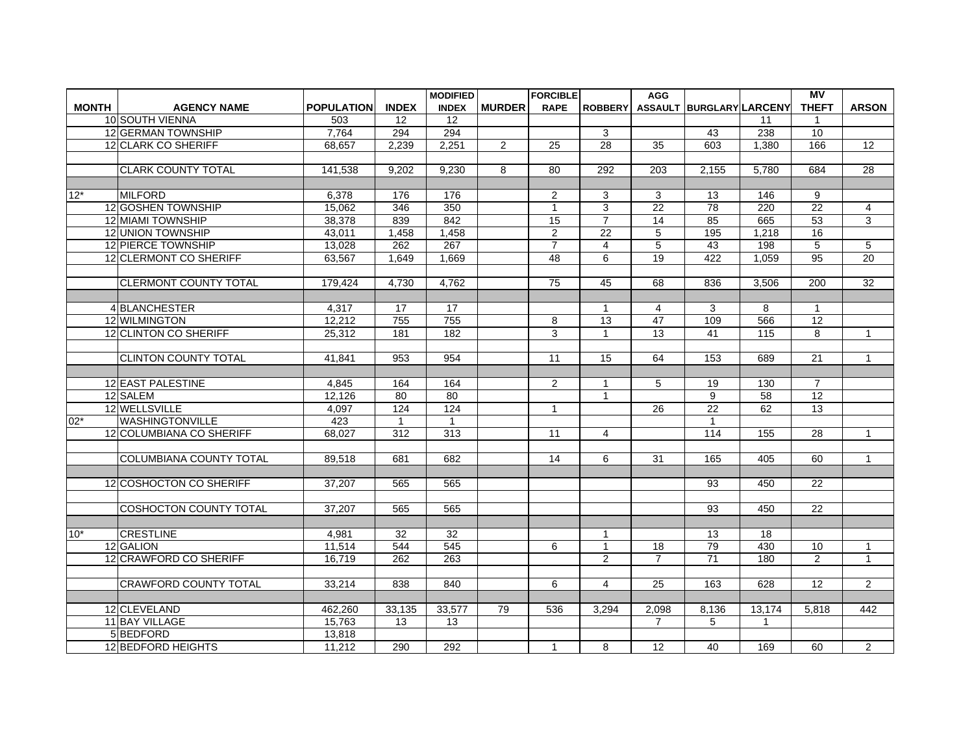|              |                                |                   |              | <b>MODIFIED</b>  |                | <b>FORCIBLE</b> |                 | <b>AGG</b>      |                          |                  | <b>MV</b>       |                 |
|--------------|--------------------------------|-------------------|--------------|------------------|----------------|-----------------|-----------------|-----------------|--------------------------|------------------|-----------------|-----------------|
| <b>MONTH</b> | <b>AGENCY NAME</b>             | <b>POPULATION</b> | <b>INDEX</b> | <b>INDEX</b>     | <b>MURDER</b>  | <b>RAPE</b>     | <b>ROBBERY</b>  |                 | ASSAULT BURGLARY LARCENY |                  | <b>THEFT</b>    | <b>ARSON</b>    |
|              | 10 SOUTH VIENNA                | 503               | 12           | 12               |                |                 |                 |                 |                          | 11               | $\mathbf 1$     |                 |
|              | 12 GERMAN TOWNSHIP             | 7.764             | 294          | 294              |                |                 | 3               |                 | 43                       | 238              | 10              |                 |
|              | 12 CLARK CO SHERIFF            | 68.657            | 2,239        | 2,251            | $\overline{2}$ | $\overline{25}$ | $\overline{28}$ | 35              | 603                      | 1,380            | 166             | $\overline{12}$ |
|              |                                |                   |              |                  |                |                 |                 |                 |                          |                  |                 |                 |
|              | <b>ICLARK COUNTY TOTAL</b>     | 141.538           | 9.202        | 9,230            | 8              | 80              | 292             | 203             | 2.155                    | 5.780            | 684             | 28              |
|              |                                |                   |              |                  |                |                 |                 |                 |                          |                  |                 |                 |
| $12*$        | <b>MILFORD</b>                 | 6.378             | 176          | 176              |                | $\overline{2}$  | 3               | 3               | 13                       | 146              | 9               |                 |
|              | 12 GOSHEN TOWNSHIP             | 15,062            | 346          | $\overline{350}$ |                | $\mathbf{1}$    | 3               | $\overline{22}$ | 78                       | $\overline{220}$ | $\overline{22}$ | 4               |
|              | 12 MIAMI TOWNSHIP              | 38,378            | 839          | 842              |                | 15              | $\overline{7}$  | 14              | 85                       | 665              | 53              | 3               |
|              | 12 UNION TOWNSHIP              | 43,011            | 1,458        | 1,458            |                | $\overline{2}$  | 22              | 5               | 195                      | 1,218            | 16              |                 |
|              | 12 PIERCE TOWNSHIP             | 13.028            | 262          | 267              |                | $\overline{7}$  | $\overline{4}$  | 5               | 43                       | 198              | 5               | 5               |
|              | 12 CLERMONT CO SHERIFF         | 63,567            | 1,649        | 1,669            |                | 48              | 6               | 19              | 422                      | 1,059            | 95              | 20              |
|              |                                |                   |              |                  |                |                 |                 |                 |                          |                  |                 |                 |
|              | <b>ICLERMONT COUNTY TOTAL</b>  | 179,424           | 4.730        | 4.762            |                | 75              | 45              | 68              | 836                      | 3.506            | 200             | 32              |
|              |                                |                   |              |                  |                |                 |                 |                 |                          |                  |                 |                 |
|              | 4BLANCHESTER                   | 4.317             | 17           | 17               |                |                 | $\mathbf{1}$    | $\overline{4}$  | 3                        | 8                | $\mathbf{1}$    |                 |
|              | 12 WILMINGTON                  | 12.212            | 755          | 755              |                | 8               | $\overline{13}$ | $\overline{47}$ | 109                      | 566              | $\overline{12}$ |                 |
|              | 12 CLINTON CO SHERIFF          | 25,312            | 181          | 182              |                | 3               | $\mathbf{1}$    | $\overline{13}$ | 41                       | 115              | 8               | $\mathbf{1}$    |
|              |                                |                   |              |                  |                |                 |                 |                 |                          |                  |                 |                 |
|              | ICLINTON COUNTY TOTAL          | 41.841            | 953          | 954              |                | 11              | 15              | 64              | 153                      | 689              | 21              | $\mathbf{1}$    |
|              |                                |                   |              |                  |                |                 |                 |                 |                          |                  |                 |                 |
|              | 12 EAST PALESTINE              | 4.845             | 164          | 164              |                | $\overline{2}$  | 1               | 5               | 19                       | 130              | $\overline{7}$  |                 |
|              | 12 SALEM                       | 12,126            | 80           | 80               |                |                 | $\mathbf{1}$    |                 | 9                        | 58               | 12              |                 |
|              | 12 WELLSVILLE                  | 4,097             | 124          | 124              |                | 1               |                 | 26              | $\overline{22}$          | 62               | 13              |                 |
| $02*$        | <b>WASHINGTONVILLE</b>         | 423               | $\mathbf{1}$ | $\mathbf{1}$     |                |                 |                 |                 | $\mathbf{1}$             |                  |                 |                 |
|              | 12 COLUMBIANA CO SHERIFF       | 68.027            | 312          | 313              |                | 11              | 4               |                 | 114                      | 155              | 28              | $\mathbf{1}$    |
|              |                                |                   |              |                  |                |                 |                 |                 |                          |                  |                 |                 |
|              | ICOLUMBIANA COUNTY TOTAL       | 89.518            | 681          | 682              |                | 14              | 6               | 31              | 165                      | 405              | 60              | $\overline{1}$  |
|              |                                |                   |              |                  |                |                 |                 |                 |                          |                  |                 |                 |
|              | 12 COSHOCTON CO SHERIFF        | 37,207            | 565          | 565              |                |                 |                 |                 | 93                       | 450              | 22              |                 |
|              |                                |                   |              |                  |                |                 |                 |                 |                          |                  |                 |                 |
|              | <b>ICOSHOCTON COUNTY TOTAL</b> | 37.207            | 565          | 565              |                |                 |                 |                 | 93                       | 450              | 22              |                 |
|              |                                |                   |              |                  |                |                 |                 |                 |                          |                  |                 |                 |
| $10*$        | <b>CRESTLINE</b>               | 4,981             | 32           | $\overline{32}$  |                |                 | $\mathbf{1}$    |                 | 13                       | 18               |                 |                 |
|              | 12 GALION                      | 11.514            | 544          | 545              |                | 6               | $\mathbf{1}$    | 18              | 79                       | 430              | 10              | $\mathbf{1}$    |
|              | 12 CRAWFORD CO SHERIFF         | 16,719            | 262          | 263              |                |                 | $\mathbf{2}$    | $\overline{7}$  | 71                       | 180              | 2               | $\mathbf{1}$    |
|              |                                |                   |              |                  |                |                 |                 |                 |                          |                  |                 |                 |
|              | <b>ICRAWFORD COUNTY TOTAL</b>  | 33,214            | 838          | 840              |                | 6               | 4               | 25              | 163                      | 628              | 12              | $\overline{2}$  |
|              |                                |                   |              |                  |                |                 |                 |                 |                          |                  |                 |                 |
|              | 12 CLEVELAND                   | 462,260           | 33,135       | 33,577           | 79             | 536             | 3,294           | 2,098           | 8,136                    | 13,174           | 5,818           | 442             |
|              | 11 BAY VILLAGE                 | 15,763            | 13           | 13               |                |                 |                 | $\overline{7}$  | 5                        | 1                |                 |                 |
|              | 5BEDFORD                       | 13,818            |              |                  |                |                 |                 |                 |                          |                  |                 |                 |
|              | 12 BEDFORD HEIGHTS             | 11,212            | 290          | 292              |                | 1               | 8               | 12              | 40                       | 169              | 60              | 2               |
|              |                                |                   |              |                  |                |                 |                 |                 |                          |                  |                 |                 |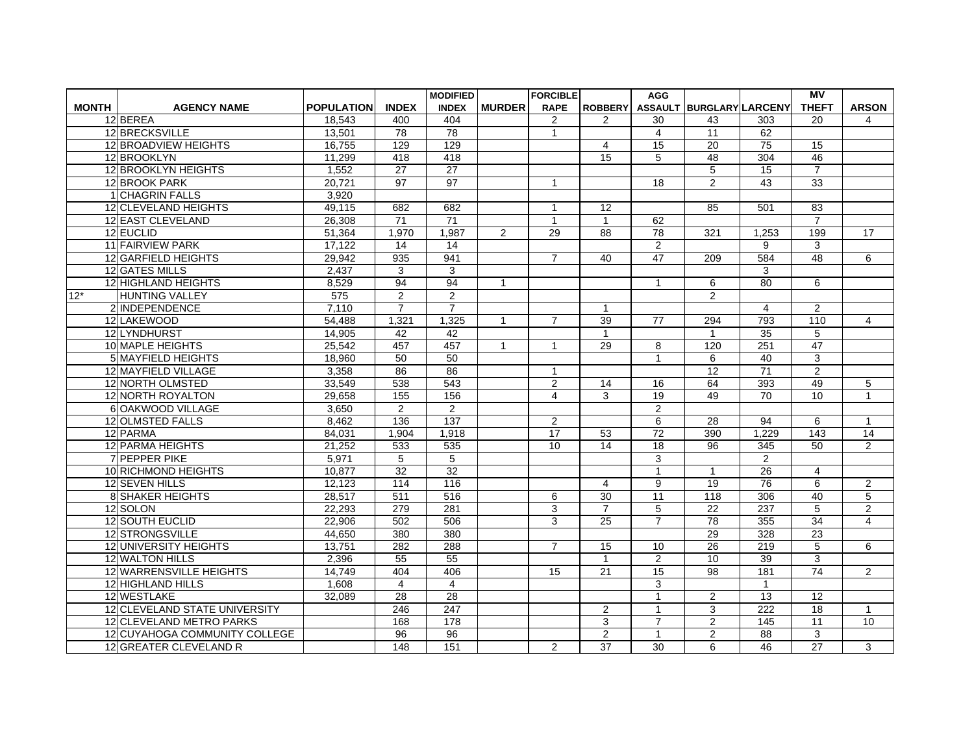|              |                               |                   |                 | <b>MODIFIED</b>  |               | <b>FORCIBLE</b> |                 | <b>AGG</b>      |                          |                  | <b>MV</b>               |                 |
|--------------|-------------------------------|-------------------|-----------------|------------------|---------------|-----------------|-----------------|-----------------|--------------------------|------------------|-------------------------|-----------------|
| <b>MONTH</b> | <b>AGENCY NAME</b>            | <b>POPULATION</b> | <b>INDEX</b>    | <b>INDEX</b>     | <b>MURDER</b> | <b>RAPE</b>     | <b>ROBBERY</b>  |                 | ASSAULT BURGLARY LARCENY |                  | <b>THEFT</b>            | <b>ARSON</b>    |
|              | 12 BEREA                      | 18,543            | 400             | 404              |               | $\overline{2}$  | $\overline{2}$  | 30              | 43                       | 303              | 20                      | 4               |
|              | 12 BRECKSVILLE                | 13,501            | $\overline{78}$ | 78               |               | $\mathbf{1}$    |                 | $\overline{4}$  | $\overline{11}$          | 62               |                         |                 |
|              | 12 BROADVIEW HEIGHTS          | 16,755            | 129             | 129              |               |                 | $\overline{4}$  | $\overline{15}$ | $\overline{20}$          | $\overline{75}$  | 15                      |                 |
|              | 12 BROOKLYN                   | 11,299            | 418             | 418              |               |                 | 15              | 5               | 48                       | 304              | 46                      |                 |
|              | 12 BROOKLYN HEIGHTS           | 1,552             | $\overline{27}$ | 27               |               |                 |                 |                 | 5                        | 15               | $\overline{7}$          |                 |
|              | 12 BROOK PARK                 | 20.721            | $\overline{97}$ | 97               |               | $\mathbf{1}$    |                 | 18              | $\overline{2}$           | 43               | 33                      |                 |
|              | 1 CHAGRIN FALLS               | 3,920             |                 |                  |               |                 |                 |                 |                          |                  |                         |                 |
|              | 12 CLEVELAND HEIGHTS          | 49,115            | 682             | 682              |               | $\overline{1}$  | 12              |                 | 85                       | 501              | 83                      |                 |
|              | 12 EAST CLEVELAND             | 26.308            | 71              | $\overline{71}$  |               | $\mathbf{1}$    | $\overline{1}$  | 62              |                          |                  | $\overline{7}$          |                 |
|              | 12 EUCLID                     | 51,364            | 1,970           | 1,987            | 2             | 29              | 88              | 78              | 321                      | 1,253            | 199                     | 17              |
|              | 11 FAIRVIEW PARK              | 17,122            | $\overline{14}$ | $\overline{14}$  |               |                 |                 | $\overline{2}$  |                          | 9                | $\overline{\mathbf{3}}$ |                 |
|              | 12 GARFIELD HEIGHTS           | 29.942            | 935             | 941              |               | $\overline{7}$  | 40              | 47              | 209                      | 584              | 48                      | 6               |
|              | 12 GATES MILLS                | 2,437             | 3               | 3                |               |                 |                 |                 |                          | 3                |                         |                 |
|              | 12 HIGHLAND HEIGHTS           | 8,529             | 94              | 94               | $\mathbf{1}$  |                 |                 | $\mathbf{1}$    | 6                        | $\overline{80}$  | 6                       |                 |
| $12*$        | <b>HUNTING VALLEY</b>         | 575               | $\overline{2}$  | $\overline{2}$   |               |                 |                 |                 | $\overline{2}$           |                  |                         |                 |
|              | 2 INDEPENDENCE                | 7,110             | $\overline{7}$  | $\overline{7}$   |               |                 | $\overline{1}$  |                 |                          | $\overline{4}$   | $\overline{2}$          |                 |
|              | 12 LAKEWOOD                   | 54.488            | 1,321           | 1,325            | $\mathbf{1}$  | $\overline{7}$  | 39              | 77              | 294                      | 793              | 110                     | $\overline{4}$  |
|              | 12 LYNDHURST                  | 14,905            | 42              | 42               |               |                 | $\mathbf{1}$    |                 |                          | 35               | $\sqrt{5}$              |                 |
|              | 10 MAPLE HEIGHTS              | 25,542            | 457             | 457              | 1             | $\mathbf{1}$    | 29              | 8               | 120                      | 251              | 47                      |                 |
|              | 5 MAYFIELD HEIGHTS            | 18.960            | $\overline{50}$ | 50               |               |                 |                 | $\mathbf{1}$    | 6                        | 40               | 3                       |                 |
|              | 12 MAYFIELD VILLAGE           | 3,358             | 86              | 86               |               | $\mathbf{1}$    |                 |                 | $\overline{12}$          | $\overline{71}$  | 2                       |                 |
|              | 12 NORTH OLMSTED              | 33,549            | 538             | 543              |               | $\overline{2}$  | 14              | 16              | 64                       | 393              | 49                      | 5               |
|              | 12 NORTH ROYALTON             | 29.658            | 155             | 156              |               | $\overline{4}$  | 3               | 19              | 49                       | 70               | 10                      | $\mathbf{1}$    |
|              | 6 OAKWOOD VILLAGE             | 3,650             | $\overline{a}$  | $\overline{2}$   |               |                 |                 | $\overline{2}$  |                          |                  |                         |                 |
|              | 12 OLMSTED FALLS              | 8.462             | 136             | 137              |               | $\overline{2}$  |                 | 6               | 28                       | $\overline{94}$  | 6                       | $\mathbf{1}$    |
|              | 12 PARMA                      | 84,031            | 1,904           | 1,918            |               | $\overline{17}$ | 53              | $\overline{72}$ | 390                      | 1,229            | 143                     | $\overline{14}$ |
|              | 12 PARMA HEIGHTS              | 21.252            | 533             | 535              |               | 10              | 14              | 18              | $\overline{96}$          | 345              | 50                      | $\overline{2}$  |
|              | 7 PEPPER PIKE                 | 5,971             | 5               | 5                |               |                 |                 | 3               |                          | 2                |                         |                 |
|              | 10 RICHMOND HEIGHTS           | 10,877            | 32              | 32               |               |                 |                 | $\mathbf{1}$    | $\mathbf{1}$             | 26               | $\overline{4}$          |                 |
|              | 12 SEVEN HILLS                | 12,123            | 114             | 116              |               |                 | $\overline{4}$  | 9               | 19                       | 76               | 6                       | 2               |
|              | <b>8 SHAKER HEIGHTS</b>       | 28,517            | 511             | 516              |               | 6               | 30              | $\overline{11}$ | 118                      | 306              | 40                      | $\overline{5}$  |
|              | 12 SOLON                      | 22,293            | 279             | 281              |               | 3               | $\overline{7}$  | 5               | $\overline{22}$          | 237              | 5                       | $\overline{c}$  |
|              | 12 SOUTH EUCLID               | 22,906            | 502             | 506              |               | 3               | $\overline{25}$ | $\overline{7}$  | 78                       | 355              | $\overline{34}$         | $\overline{4}$  |
|              | 12 STRONGSVILLE               | 44,650            | 380             | 380              |               |                 |                 |                 | 29                       | 328              | 23                      |                 |
|              | 12 UNIVERSITY HEIGHTS         | 13.751            | 282             | 288              |               | $\overline{7}$  | 15              | 10              | 26                       | $\overline{219}$ | 5                       | 6               |
|              | 12 WALTON HILLS               | 2,396             | 55              | $\overline{55}$  |               |                 | $\mathbf{1}$    | 2               | 10                       | 39               | 3                       |                 |
|              | 12 WARRENSVILLE HEIGHTS       | 14,749            | 404             | 406              |               | 15              | $\overline{21}$ | 15              | $\overline{98}$          | 181              | 74                      | $\overline{2}$  |
|              | 12 HIGHLAND HILLS             | 1.608             | $\overline{4}$  | $\overline{4}$   |               |                 |                 | 3               |                          | $\mathbf{1}$     |                         |                 |
|              | 12 WESTLAKE                   | 32,089            | $\overline{28}$ | 28               |               |                 |                 | $\overline{1}$  | 2                        | 13               | $\overline{12}$         |                 |
|              | 12 CLEVELAND STATE UNIVERSITY |                   | 246             | $\overline{247}$ |               |                 | 2               | $\mathbf{1}$    | 3                        | $\overline{222}$ | $\overline{18}$         | $\mathbf{1}$    |
|              | 12 CLEVELAND METRO PARKS      |                   | 168             | 178              |               |                 | 3               | $\overline{7}$  | $\overline{2}$           | 145              | $\overline{11}$         | 10              |
|              | 12 CUYAHOGA COMMUNITY COLLEGE |                   | 96              | 96               |               |                 | $\overline{2}$  | $\mathbf{1}$    | 2                        | 88               | 3                       |                 |
|              | 12 GREATER CLEVELAND R        |                   | 148             | 151              |               | $\overline{2}$  | $\overline{37}$ | 30              | 6                        | 46               | $\overline{27}$         | 3               |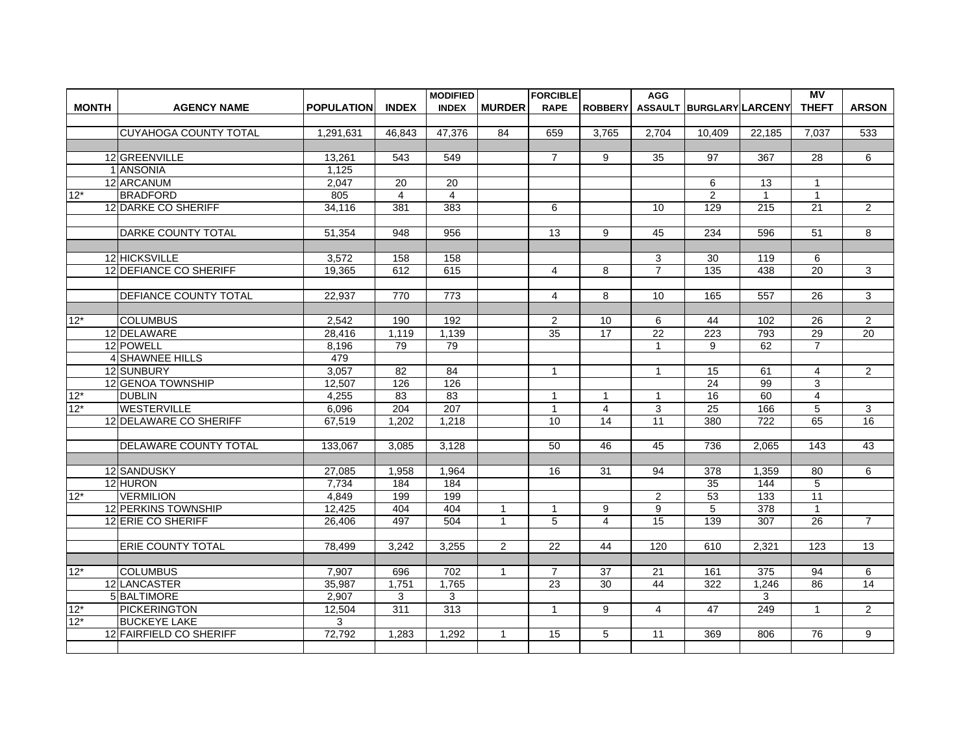|              |                               |                   |                 | <b>MODIFIED</b>  |                | <b>FORCIBLE</b> |                         | <b>AGG</b>      |                          |                  | <b>MV</b>       |                 |
|--------------|-------------------------------|-------------------|-----------------|------------------|----------------|-----------------|-------------------------|-----------------|--------------------------|------------------|-----------------|-----------------|
| <b>MONTH</b> | <b>AGENCY NAME</b>            | <b>POPULATION</b> | <b>INDEX</b>    | <b>INDEX</b>     | <b>MURDER</b>  | <b>RAPE</b>     | <b>ROBBERY</b>          |                 | ASSAULT BURGLARY LARCENY |                  | <b>THEFT</b>    | <b>ARSON</b>    |
|              |                               |                   |                 |                  |                |                 |                         |                 |                          |                  |                 |                 |
|              | İCUYAHOGA COUNTY TOTAL        | 1.291.631         | 46.843          | 47,376           | 84             | 659             | 3,765                   | 2.704           | 10.409                   | 22.185           | 7,037           | 533             |
|              |                               |                   |                 |                  |                |                 |                         |                 |                          |                  |                 |                 |
|              | 12 GREENVILLE                 | 13,261            | 543             | 549              |                | $\overline{7}$  | 9                       | 35              | 97                       | 367              | 28              | 6               |
|              | 1 ANSONIA                     | 1.125             |                 |                  |                |                 |                         |                 |                          |                  |                 |                 |
|              | 12 ARCANUM                    | 2,047             | $\overline{20}$ | $\overline{20}$  |                |                 |                         |                 | 6                        | $\overline{13}$  | $\mathbf{1}$    |                 |
| $12*$        | <b>BRADFORD</b>               | 805               | $\overline{4}$  | $\overline{4}$   |                |                 |                         |                 | $\overline{2}$           | $\mathbf{1}$     | $\mathbf 1$     |                 |
|              | 12 DARKE CO SHERIFF           | 34.116            | 381             | 383              |                | 6               |                         | 10              | 129                      | $\overline{215}$ | $\overline{21}$ | 2               |
|              |                               |                   |                 |                  |                |                 |                         |                 |                          |                  |                 |                 |
|              | <b>DARKE COUNTY TOTAL</b>     | 51,354            | 948             | 956              |                | 13              | 9                       | 45              | 234                      | 596              | 51              | 8               |
|              |                               |                   |                 |                  |                |                 |                         |                 |                          |                  |                 |                 |
|              | 12 HICKSVILLE                 | 3.572             | 158             | 158              |                |                 |                         | 3               | 30                       | 119              | 6               |                 |
|              | 12 DEFIANCE CO SHERIFF        | 19,365            | 612             | 615              |                | $\overline{4}$  | 8                       | $\overline{7}$  | $\overline{135}$         | 438              | $\overline{20}$ | 3               |
|              |                               |                   |                 |                  |                |                 |                         |                 |                          |                  |                 |                 |
|              | <b>IDEFIANCE COUNTY TOTAL</b> | 22.937            | 770             | 773              |                | $\overline{4}$  | 8                       | 10              | 165                      | 557              | 26              | 3               |
|              |                               |                   |                 |                  |                |                 |                         |                 |                          |                  |                 |                 |
| $12*$        | <b>COLUMBUS</b>               | 2.542             | 190             | $\overline{192}$ |                | $\overline{2}$  | 10                      | 6               | 44                       | 102              | 26              | 2               |
|              | 12 DELAWARE                   | 28,416            | 1,119           | 1,139            |                | 35              | 17                      | $\overline{22}$ | 223                      | 793              | 29              | $\overline{20}$ |
|              | 12 POWELL                     | 8,196             | 79              | 79               |                |                 |                         | $\mathbf{1}$    | 9                        | 62               | $\overline{7}$  |                 |
|              | 4 SHAWNEE HILLS               | 479               |                 |                  |                |                 |                         |                 |                          |                  |                 |                 |
|              | 12 SUNBURY                    | 3,057             | 82              | 84               |                | $\mathbf{1}$    |                         | $\mathbf{1}$    | 15                       | 61               | 4               | 2               |
|              | 12 GENOA TOWNSHIP             | 12.507            | 126             | 126              |                |                 |                         |                 | $\overline{24}$          | 99               | 3               |                 |
| $12*$        | <b>DUBLIN</b>                 | 4,255             | 83              | 83               |                | $\mathbf{1}$    | $\mathbf{1}$            | $\mathbf{1}$    | 16                       | 60               | 4               |                 |
| $12*$        | <b>WESTERVILLE</b>            | 6,096             | 204             | 207              |                | $\mathbf{1}$    | $\overline{\mathbf{4}}$ | 3               | 25                       | 166              | 5               | 3               |
|              | 12 DELAWARE CO SHERIFF        | 67,519            | 1,202           | 1,218            |                | 10              | 14                      | 11              | 380                      | 722              | 65              | 16              |
|              |                               |                   |                 |                  |                |                 |                         |                 |                          |                  |                 |                 |
|              | <b>IDELAWARE COUNTY TOTAL</b> | 133,067           | 3.085           | 3,128            |                | 50              | 46                      | 45              | 736                      | 2.065            | 143             | 43              |
|              |                               |                   |                 |                  |                |                 |                         |                 |                          |                  |                 |                 |
|              | 12 SANDUSKY                   | 27,085            | 1,958           | 1,964            |                | 16              | 31                      | 94              | 378                      | 1,359            | 80              | 6               |
|              | 12 HURON                      | 7.734             | 184             | 184              |                |                 |                         |                 | 35                       | 144              | 5               |                 |
| $12*$        | <b>VERMILION</b>              | 4,849             | 199             | 199              |                |                 |                         | $\overline{2}$  | 53                       | 133              | 11              |                 |
|              | 12 PERKINS TOWNSHIP           | 12,425            | 404             | 404              | $\mathbf{1}$   | $\mathbf{1}$    | 9                       | 9               | 5                        | $\overline{378}$ | $\mathbf{1}$    |                 |
|              | 12 ERIE CO SHERIFF            | 26.406            | 497             | 504              | $\mathbf{1}$   | 5               | $\overline{\mathbf{A}}$ | $\overline{15}$ | 139                      | $\overline{307}$ | $\overline{26}$ | $\overline{7}$  |
|              |                               |                   |                 |                  |                |                 |                         |                 |                          |                  |                 |                 |
|              | <b>ERIE COUNTY TOTAL</b>      | 78.499            | 3.242           | 3,255            | $\overline{2}$ | 22              | 44                      | 120             | 610                      | 2.321            | 123             | 13              |
|              |                               |                   |                 |                  |                |                 |                         |                 |                          |                  |                 |                 |
| $12*$        | <b>COLUMBUS</b>               | 7,907             | 696             | 702              | 1              | $\overline{7}$  | 37                      | 21              | 161                      | 375              | 94              | 6               |
|              | 12 LANCASTER                  | 35,987            | 1,751           | 1,765            |                | $\overline{23}$ | 30                      | 44              | 322                      | 1,246            | 86              | $\overline{14}$ |
|              | 5 BALTIMORE                   | 2,907             | 3               | 3                |                |                 |                         |                 |                          | 3                |                 |                 |
| $12*$        | <b>PICKERINGTON</b>           | 12,504            | 311             | 313              |                | $\mathbf{1}$    | 9                       | $\overline{4}$  | 47                       | 249              | $\mathbf{1}$    | 2               |
| $12*$        | <b>BUCKEYE LAKE</b>           | 3                 |                 |                  |                |                 |                         |                 |                          |                  |                 |                 |
|              | 12 FAIRFIELD CO SHERIFF       | 72,792            | 1,283           | 1,292            | 1              | 15              | 5                       | 11              | 369                      | 806              | 76              | 9               |
|              |                               |                   |                 |                  |                |                 |                         |                 |                          |                  |                 |                 |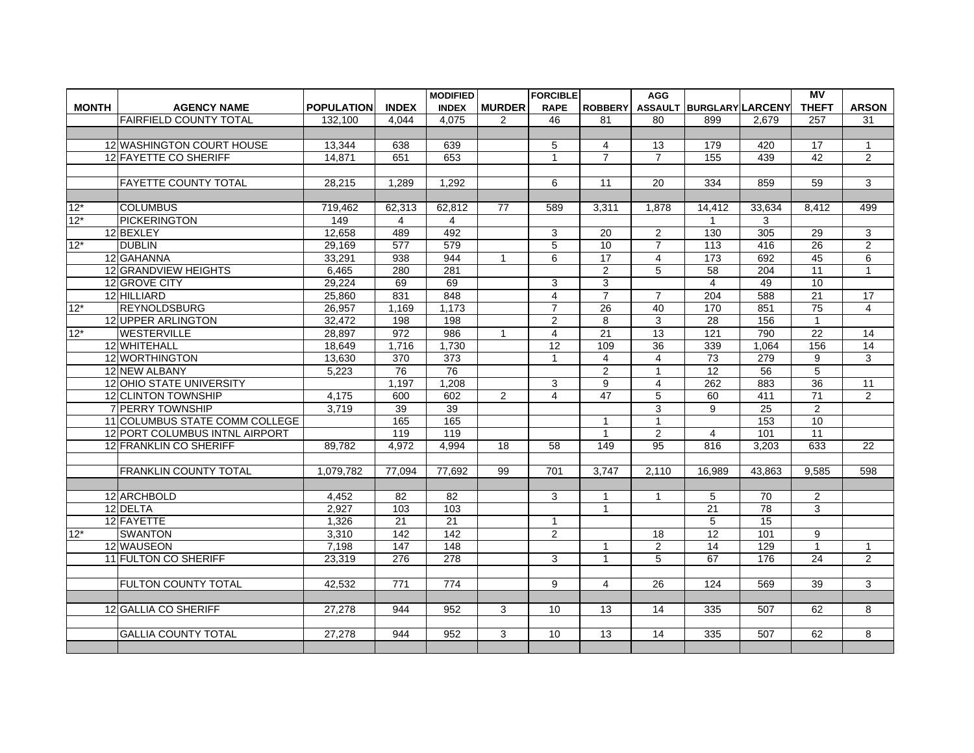|              |                                |                   |                  | <b>MODIFIED</b>  |                | <b>FORCIBLE</b> |                 | <b>AGG</b>      |                          |                 | МV              |                |
|--------------|--------------------------------|-------------------|------------------|------------------|----------------|-----------------|-----------------|-----------------|--------------------------|-----------------|-----------------|----------------|
| <b>MONTH</b> | <b>AGENCY NAME</b>             | <b>POPULATION</b> | <b>INDEX</b>     | <b>INDEX</b>     | <b>MURDER</b>  | <b>RAPE</b>     | <b>ROBBERY</b>  |                 | ASSAULT BURGLARY LARCENY |                 | <b>THEFT</b>    | <b>ARSON</b>   |
|              | FAIRFIELD COUNTY TOTAL         | 132,100           | 4.044            | 4,075            | $\mathcal{P}$  | 46              | 81              | 80              | 899                      | 2,679           | 257             | 31             |
|              |                                |                   |                  |                  |                |                 |                 |                 |                          |                 |                 |                |
|              | 12 WASHINGTON COURT HOUSE      | 13,344            | 638              | 639              |                | 5               | $\overline{4}$  | 13              | 179                      | 420             | 17              | $\mathbf{1}$   |
|              | 12 FAYETTE CO SHERIFF          | 14,871            | 651              | 653              |                | $\mathbf{1}$    | $\overline{7}$  | $\overline{7}$  | 155                      | 439             | 42              | 2              |
|              |                                |                   |                  |                  |                |                 |                 |                 |                          |                 |                 |                |
|              | <b>FAYETTE COUNTY TOTAL</b>    | 28,215            | 1,289            | 1,292            |                | 6               | $\overline{11}$ | 20              | 334                      | 859             | 59              | 3              |
|              |                                |                   |                  |                  |                |                 |                 |                 |                          |                 |                 |                |
| $12*$        | <b>COLUMBUS</b>                | 719,462           | 62,313           | 62,812           | 77             | 589             | 3,311           | 1.878           | 14,412                   | 33,634          | 8.412           | 499            |
| $12*$        | <b>PICKERINGTON</b>            | 149               | 4                | $\overline{4}$   |                |                 |                 |                 |                          | 3               |                 |                |
|              | 12 BEXLEY                      | 12,658            | 489              | 492              |                | 3               | 20              | $\overline{2}$  | 130                      | 305             | 29              | 3              |
| $12*$        | <b>DUBLIN</b>                  | 29,169            | $\overline{577}$ | 579              |                | $\overline{5}$  | $\overline{10}$ | $\overline{7}$  | 113                      | 416             | 26              | $\overline{2}$ |
|              | 12 GAHANNA                     | 33,291            | 938              | 944              | $\mathbf{1}$   | 6               | 17              | $\overline{4}$  | 173                      | 692             | 45              | 6              |
|              | <b>12 GRANDVIEW HEIGHTS</b>    | 6,465             | 280              | 281              |                |                 | $\overline{2}$  | 5               | 58                       | 204             | 11              | $\mathbf{1}$   |
|              | 12 GROVE CITY                  | 29.224            | 69               | 69               |                | 3               | $\overline{3}$  |                 | $\overline{\mathbf{A}}$  | 49              | 10              |                |
|              | 12 HILLIARD                    | 25,860            | 831              | 848              |                | $\overline{4}$  | $\overline{7}$  | $\overline{7}$  | 204                      | 588             | 21              | 17             |
| $12*$        | REYNOLDSBURG                   | 26,957            | 1,169            | 1,173            |                | $\overline{7}$  | 26              | 40              | 170                      | 851             | 75              | $\overline{4}$ |
|              | 12 UPPER ARLINGTON             | 32.472            | 198              | $\overline{198}$ |                | $\overline{2}$  | $\overline{8}$  | 3               | $\overline{28}$          | 156             | $\overline{1}$  |                |
| $12*$        | <b>WESTERVILLE</b>             | 28,897            | 972              | 986              | $\mathbf{1}$   | $\overline{4}$  | 21              | 13              | 121                      | 790             | $\overline{22}$ | 14             |
|              | 12 WHITEHALL                   | 18,649            | 1,716            | 1,730            |                | $\overline{12}$ | 109             | $\overline{36}$ | 339                      | 1,064           | 156             | 14             |
|              | 12 WORTHINGTON                 | 13,630            | 370              | 373              |                | $\mathbf{1}$    | $\overline{4}$  | $\overline{4}$  | 73                       | 279             | 9               | 3              |
|              | 12 NEW ALBANY                  | 5,223             | 76               | 76               |                |                 | 2               | $\mathbf{1}$    | 12                       | 56              | 5               |                |
|              | 12 OHIO STATE UNIVERSITY       |                   | 1.197            | 1,208            |                | 3               | 9               | $\overline{4}$  | 262                      | 883             | 36              | 11             |
|              | <b>12 CLINTON TOWNSHIP</b>     | 4,175             | 600              | 602              | $\overline{2}$ | $\overline{4}$  | 47              | 5               | 60                       | 411             | 71              | $\overline{2}$ |
|              | <b>7 PERRY TOWNSHIP</b>        | 3,719             | 39               | 39               |                |                 |                 | 3               | 9                        | 25              | 2               |                |
|              | 11 COLUMBUS STATE COMM COLLEGE |                   | 165              | 165              |                |                 | 1               | 1               |                          | 153             | 10              |                |
|              | 12 PORT COLUMBUS INTNL AIRPORT |                   | 119              | 119              |                |                 | $\mathbf{1}$    | $\overline{2}$  | $\overline{4}$           | 101             | $\overline{11}$ |                |
|              | 12 FRANKLIN CO SHERIFF         | 89.782            | 4.972            | 4,994            | 18             | 58              | 149             | $\overline{95}$ | 816                      | 3.203           | 633             | 22             |
|              |                                |                   |                  |                  |                |                 |                 |                 |                          |                 |                 |                |
|              | <b>FRANKLIN COUNTY TOTAL</b>   | 1,079,782         | 77,094           | 77.692           | 99             | 701             | 3,747           | 2,110           | 16,989                   | 43,863          | 9.585           | 598            |
|              |                                |                   |                  |                  |                |                 |                 |                 |                          |                 |                 |                |
|              | 12 ARCHBOLD                    | 4,452             | 82               | 82               |                | 3               | 1               | 1               | 5                        | 70              | $\overline{2}$  |                |
|              | 12 DELTA                       | 2,927             | 103              | 103              |                |                 | $\overline{1}$  |                 | $\overline{21}$          | 78              | 3               |                |
|              | 12 FAYETTE                     | 1.326             | 21               | 21               |                | $\mathbf{1}$    |                 |                 | 5                        | $\overline{15}$ |                 |                |
| $12*$        | <b>SWANTON</b>                 | 3,310             | 142              | 142              |                | $\overline{2}$  |                 | 18              | 12                       | 101             | 9               |                |
|              | 12 WAUSEON                     | 7,198             | 147              | 148              |                |                 | $\overline{1}$  | $\overline{2}$  | 14                       | 129             | $\mathbf{1}$    | $\mathbf{1}$   |
|              | 11 FULTON CO SHERIFF           | 23.319            | 276              | 278              |                | 3               | 1               | 5               | 67                       | 176             | 24              | $\overline{2}$ |
|              |                                |                   |                  |                  |                |                 |                 |                 |                          |                 |                 |                |
|              | <b>FULTON COUNTY TOTAL</b>     | 42,532            | 771              | 774              |                | 9               | $\overline{4}$  | 26              | 124                      | 569             | 39              | 3              |
|              |                                |                   |                  |                  |                |                 |                 |                 |                          |                 |                 |                |
|              | 12 GALLIA CO SHERIFF           | 27,278            | 944              | 952              | 3              | 10 <sup>1</sup> | 13              | 14              | 335                      | 507             | 62              | 8              |
|              |                                |                   |                  |                  |                |                 |                 |                 |                          |                 |                 |                |
|              | <b>GALLIA COUNTY TOTAL</b>     | 27,278            | 944              | 952              | 3              | 10              | 13              | 14              | 335                      | 507             | 62              | 8              |
|              |                                |                   |                  |                  |                |                 |                 |                 |                          |                 |                 |                |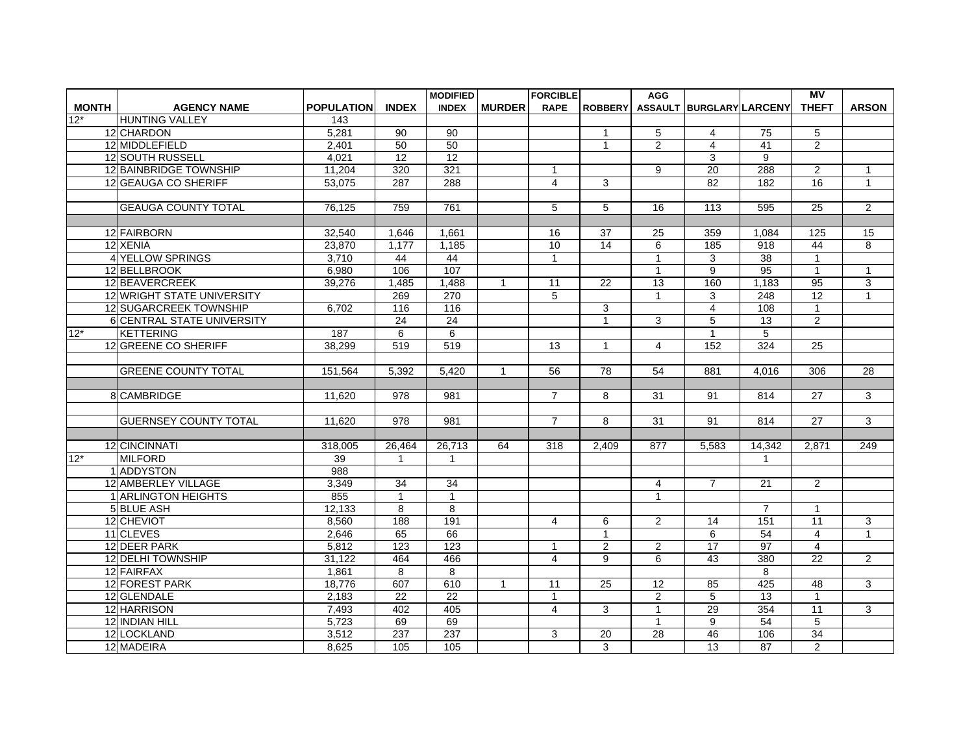| <b>MONTH</b><br><b>POPULATION</b><br><b>INDEX</b><br><b>INDEX</b><br><b>RAPE</b><br>ASSAULT BURGLARY LARCENY<br><b>AGENCY NAME</b><br><b>MURDER</b><br><b>ROBBERY</b><br>$12*$<br><b>HUNTING VALLEY</b><br>143 | <b>THEFT</b><br><b>ARSON</b>      |
|----------------------------------------------------------------------------------------------------------------------------------------------------------------------------------------------------------------|-----------------------------------|
|                                                                                                                                                                                                                |                                   |
|                                                                                                                                                                                                                |                                   |
| 12 CHARDON<br>5,281<br>90<br>90<br>5<br>75<br>$\overline{4}$<br>$\mathbf{1}$                                                                                                                                   | 5                                 |
| 12 MIDDLEFIELD<br>50<br>2,401<br>50<br>$\overline{2}$<br>$\overline{4}$<br>41<br>$\mathbf{1}$                                                                                                                  | $\overline{2}$                    |
| 12 SOUTH RUSSELL<br>$\overline{12}$<br>4.021<br>12<br>3<br>9                                                                                                                                                   |                                   |
| <b>12 BAINBRIDGE TOWNSHIP</b><br>321<br>$\overline{20}$<br>288<br>11,204<br>320<br>9                                                                                                                           | $\overline{2}$<br>$\mathbf{1}$    |
| 12 GEAUGA CO SHERIFF<br>3<br>53,075<br>287<br>288<br>$\overline{4}$<br>82<br>182                                                                                                                               | 16<br>$\mathbf{1}$                |
|                                                                                                                                                                                                                |                                   |
| <b>GEAUGA COUNTY TOTAL</b><br>5<br>76,125<br>759<br>761<br>5<br>16<br>113<br>595                                                                                                                               | $\overline{25}$<br>2              |
|                                                                                                                                                                                                                |                                   |
| 12 FAIRBORN<br>32,540<br>1,646<br>1,661<br>16<br>37<br>25<br>359<br>1,084                                                                                                                                      | 125<br>15                         |
| 14<br>918<br>12 XENIA<br>1,177<br>1,185<br>10<br>6<br>185<br>23,870                                                                                                                                            | 44<br>8                           |
| <b>4 YELLOW SPRINGS</b><br>3.710<br>44<br>44<br>$\mathbf{1}$<br>3<br>38<br>$\mathbf{1}$                                                                                                                        | $\mathbf{1}$                      |
| 107<br>12 BELLBROOK<br>9<br>$\overline{95}$<br>6,980<br>106<br>$\mathbf{1}$                                                                                                                                    | $\mathbf{1}$<br>$\mathbf{1}$      |
| 12 BEAVERCREEK<br>39,276<br>1,488<br>$\overline{11}$<br>$\overline{13}$<br>160<br>1,183<br>1,485<br>22<br>$\mathbf{1}$                                                                                         | 95<br>3                           |
| 12 WRIGHT STATE UNIVERSITY<br>269<br>270<br>5<br>3<br>248<br>$\mathbf{1}$                                                                                                                                      | $\overline{12}$<br>$\mathbf{1}$   |
| 12 SUGARCREEK TOWNSHIP<br>116<br>$\overline{4}$<br>108<br>6,702<br>116<br>3                                                                                                                                    | $\mathbf{1}$                      |
| 24<br>$\overline{1}$<br>$\overline{5}$<br><b>6 CENTRAL STATE UNIVERSITY</b><br>$\overline{24}$<br>3<br>$\overline{13}$                                                                                         | $\overline{2}$                    |
| $12*$<br><b>KETTERING</b><br>187<br>6<br>6<br>$\mathbf{1}$<br>5                                                                                                                                                |                                   |
| 324<br>12 GREENE CO SHERIFF<br>38,299<br>519<br>519<br>152<br>13<br>$\overline{4}$<br>$\mathbf{1}$                                                                                                             | $\overline{25}$                   |
|                                                                                                                                                                                                                |                                   |
| <b>GREENE COUNTY TOTAL</b><br>5.392<br>56<br>78<br>881<br>151,564<br>5,420<br>$\mathbf{1}$<br>54<br>4.016                                                                                                      | 306<br>28                         |
|                                                                                                                                                                                                                |                                   |
| 8 CAMBRIDGE<br>11.620<br>978<br>981<br>$\overline{7}$<br>31<br>91<br>814<br>8                                                                                                                                  | 27<br>3                           |
|                                                                                                                                                                                                                |                                   |
| $\overline{978}$<br>$\overline{7}$<br><b>GUERNSEY COUNTY TOTAL</b><br>11.620<br>981<br>8<br>31<br>91<br>814                                                                                                    | $\overline{27}$<br>3              |
|                                                                                                                                                                                                                |                                   |
| 12 CINCINNATI<br>318,005<br>26,464<br>26,713<br>64<br>318<br>2,409<br>877<br>5,583<br>14,342                                                                                                                   | 2,871<br>249                      |
| $12*$<br><b>MILFORD</b><br>39<br>1<br>$\mathbf 1$<br>1                                                                                                                                                         |                                   |
| 1 ADDYSTON<br>988                                                                                                                                                                                              |                                   |
| 12 AMBERLEY VILLAGE<br>34<br>3,349<br>34<br>$\overline{7}$<br>21<br>4                                                                                                                                          | 2                                 |
| 1 ARLINGTON HEIGHTS<br>855<br>$\mathbf{1}$<br>$\mathbf{1}$<br>$\mathbf{1}$                                                                                                                                     |                                   |
| 5 BLUE ASH<br>8<br>8<br>12,133<br>$\overline{7}$                                                                                                                                                               | $\mathbf 1$                       |
| 151<br>12 CHEVIOT<br>188<br>191<br>8,560<br>6<br>$\mathbf{2}$<br>14<br>4                                                                                                                                       | $\overline{11}$<br>$\overline{3}$ |
| 11 CLEVES<br>66<br>54<br>2,646<br>65<br>$\mathbf{1}$<br>6                                                                                                                                                      | $\overline{4}$<br>$\mathbf{1}$    |
| 123<br>17<br>12 DEER PARK<br>$\overline{123}$<br>$\overline{c}$<br>$\overline{97}$<br>5,812<br>$\overline{2}$<br>$\mathbf{1}$                                                                                  | $\overline{4}$                    |
| 12 DELHI TOWNSHIP<br>31,122<br>464<br>466<br>$\overline{\mathbf{4}}$<br>9<br>6<br>43<br>380                                                                                                                    | $\overline{22}$<br>$\overline{2}$ |
| 12 FAIRFAX<br>8<br>1.861<br>8<br>8                                                                                                                                                                             |                                   |
| 12 FOREST PARK<br>425<br>18,776<br>607<br>610<br>25<br>$\mathbf{1}$<br>11<br>12<br>85                                                                                                                          | 48<br>3                           |
| $\overline{22}$<br>$\overline{c}$<br>5<br>12 GLENDALE<br>2,183<br>22<br>13<br>$\mathbf{1}$                                                                                                                     | $\mathbf{1}$                      |
| 12 HARRISON<br>354<br>7,493<br>402<br>405<br>$\overline{4}$<br>3<br>$\mathbf{1}$<br>29                                                                                                                         | $\overline{11}$<br>3              |
| 69<br>12 INDIAN HILL<br>5.723<br>69<br>9<br>54<br>$\mathbf{1}$                                                                                                                                                 | 5                                 |
| 12 LOCKLAND<br>3,512<br>237<br>237<br>$\overline{28}$<br>46<br>106<br>3<br>20                                                                                                                                  | 34                                |
| 12 MADEIRA<br>8,625<br>105<br>3<br>$\overline{13}$<br>105<br>87                                                                                                                                                | $\overline{2}$                    |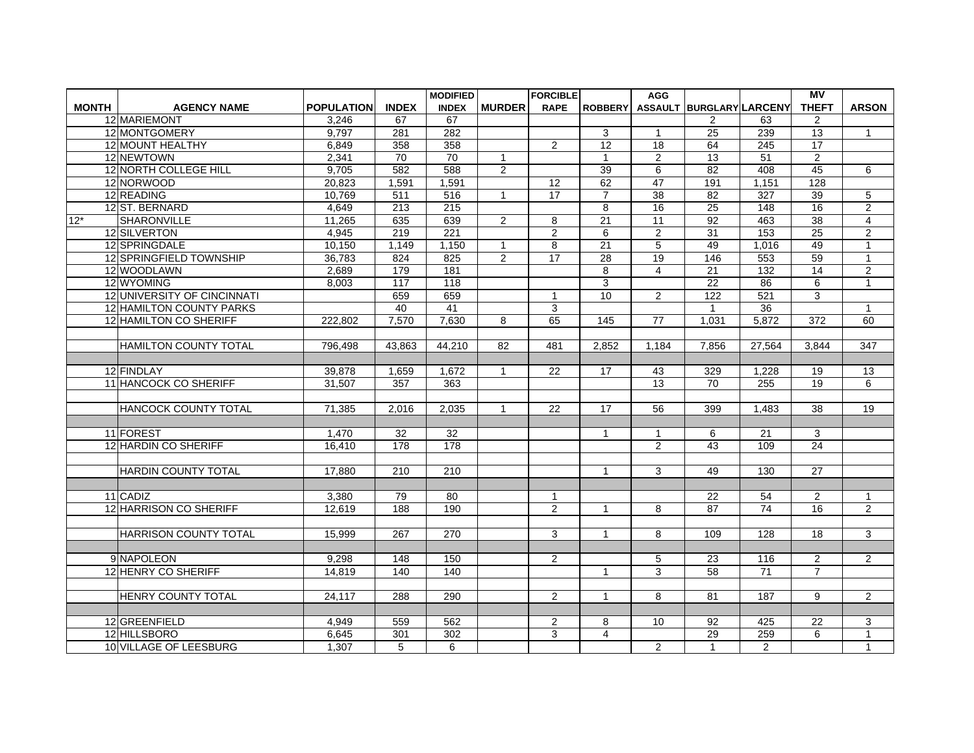|              |                              |                   |              | <b>MODIFIED</b>  |                | <b>FORCIBLE</b> |                         | <b>AGG</b>      |                          |                  | <b>MV</b>       |                |
|--------------|------------------------------|-------------------|--------------|------------------|----------------|-----------------|-------------------------|-----------------|--------------------------|------------------|-----------------|----------------|
| <b>MONTH</b> | <b>AGENCY NAME</b>           | <b>POPULATION</b> | <b>INDEX</b> | <b>INDEX</b>     | <b>MURDER</b>  | <b>RAPE</b>     | <b>ROBBERY</b>          |                 | ASSAULT BURGLARY LARCENY |                  | <b>THEFT</b>    | <b>ARSON</b>   |
|              | 12 MARIEMONT                 | 3,246             | 67           | 67               |                |                 |                         |                 | $\overline{2}$           | 63               | $\overline{2}$  |                |
|              | 12 MONTGOMERY                | 9,797             | 281          | 282              |                |                 | 3                       | $\mathbf{1}$    | 25                       | 239              | 13              | $\mathbf{1}$   |
|              | 12 MOUNT HEALTHY             | 6,849             | 358          | 358              |                | $\overline{2}$  | $\overline{12}$         | $\overline{18}$ | 64                       | $\overline{245}$ | 17              |                |
|              | 12 NEWTOWN                   | 2,341             | 70           | 70               | 1              |                 | $\mathbf{1}$            | $\overline{2}$  | 13                       | 51               | 2               |                |
|              | 12 NORTH COLLEGE HILL        | 9,705             | 582          | 588              | $\overline{2}$ |                 | 39                      | $\overline{6}$  | 82                       | 408              | 45              | 6              |
|              | 12 NORWOOD                   | 20,823            | 1,591        | 1,591            |                | 12              | 62                      | 47              | 191                      | 1,151            | 128             |                |
|              | 12 READING                   | 10,769            | 511          | 516              | 1              | 17              | $\overline{7}$          | $\overline{38}$ | 82                       | 327              | 39              | 5              |
|              | 12 ST. BERNARD               | 4,649             | 213          | 215              |                |                 | $\overline{8}$          | 16              | 25                       | 148              | 16              | $\overline{2}$ |
| $12*$        | <b>SHARONVILLE</b>           | 11,265            | 635          | 639              | $\overline{2}$ | 8               | 21                      | 11              | 92                       | 463              | 38              | $\overline{4}$ |
|              | 12 SILVERTON                 | 4,945             | 219          | $\overline{221}$ |                | $\overline{2}$  | 6                       | 2               | 31                       | 153              | 25              | $\overline{2}$ |
|              | 12 SPRINGDALE                | 10,150            | 1,149        | 1,150            | $\mathbf{1}$   | 8               | $\overline{21}$         | $\overline{5}$  | 49                       | 1,016            | 49              | $\overline{1}$ |
|              | 12 SPRINGFIELD TOWNSHIP      | 36.783            | 824          | 825              | $\overline{2}$ | $\overline{17}$ | 28                      | 19              | 146                      | 553              | 59              | $\mathbf{1}$   |
|              | 12 WOODLAWN                  | 2,689             | 179          | 181              |                |                 | 8                       | 4               | 21                       | 132              | 14              | $\overline{c}$ |
|              | 12 WYOMING                   | 8,003             | 117          | 118              |                |                 | $\overline{3}$          |                 | $\overline{22}$          | 86               | $6\overline{6}$ | $\overline{1}$ |
|              | 12 UNIVERSITY OF CINCINNATI  |                   | 659          | 659              |                | $\mathbf{1}$    | 10                      | $\overline{2}$  | 122                      | $\overline{521}$ | 3               |                |
|              | 12 HAMILTON COUNTY PARKS     |                   | 40           | 41               |                | 3               |                         |                 | 1                        | 36               |                 | $\mathbf{1}$   |
|              | 12 HAMILTON CO SHERIFF       | 222,802           | 7,570        | 7,630            | 8              | 65              | 145                     | $\overline{77}$ | 1,031                    | 5,872            | 372             | 60             |
|              |                              |                   |              |                  |                |                 |                         |                 |                          |                  |                 |                |
|              | <b>HAMILTON COUNTY TOTAL</b> | 796,498           | 43,863       | 44.210           | 82             | 481             | 2.852                   | 1.184           | 7,856                    | 27.564           | 3.844           | 347            |
|              |                              |                   |              |                  |                |                 |                         |                 |                          |                  |                 |                |
|              | 12 FINDLAY                   | 39,878            | 1,659        | 1,672            | 1              | 22              | 17                      | 43              | 329                      | 1,228            | 19              | 13             |
|              | <b>11 HANCOCK CO SHERIFF</b> | 31,507            | 357          | 363              |                |                 |                         | 13              | 70                       | 255              | 19              | 6              |
|              |                              |                   |              |                  |                |                 |                         |                 |                          |                  |                 |                |
|              | HANCOCK COUNTY TOTAL         | 71,385            | 2,016        | 2,035            | $\mathbf{1}$   | 22              | 17                      | 56              | 399                      | 1,483            | $\overline{38}$ | 19             |
|              |                              |                   |              |                  |                |                 |                         |                 |                          |                  |                 |                |
|              | 11 FOREST                    | 1,470             | 32           | $\overline{32}$  |                |                 | $\mathbf{1}$            | $\mathbf{1}$    | 6                        | 21               | 3               |                |
|              | 12 HARDIN CO SHERIFF         | 16,410            | 178          | 178              |                |                 |                         | 2               | 43                       | 109              | $\overline{24}$ |                |
|              |                              |                   |              |                  |                |                 |                         |                 |                          |                  |                 |                |
|              | <b>HARDIN COUNTY TOTAL</b>   | 17.880            | 210          | $\overline{210}$ |                |                 | $\mathbf{1}$            | $\mathcal{S}$   | 49                       | 130              | $\overline{27}$ |                |
|              |                              |                   |              |                  |                |                 |                         |                 |                          |                  |                 |                |
|              | 11 CADIZ                     | 3,380             | 79           | 80               |                | $\mathbf 1$     |                         |                 | 22                       | 54               | $\overline{2}$  | $\mathbf{1}$   |
|              | 12 HARRISON CO SHERIFF       | 12.619            | 188          | 190              |                | $\overline{2}$  | $\mathbf{1}$            | 8               | $\overline{87}$          | 74               | $\overline{16}$ | $\overline{2}$ |
|              |                              |                   |              |                  |                |                 |                         |                 |                          |                  |                 |                |
|              | <b>HARRISON COUNTY TOTAL</b> | 15,999            | 267          | 270              |                | 3               | $\mathbf{1}$            | 8               | 109                      | 128              | 18              | 3              |
|              |                              |                   |              |                  |                |                 |                         |                 |                          |                  |                 |                |
|              | 9 NAPOLEON                   | 9,298             | 148          | 150              |                | $\overline{2}$  |                         | 5               | 23                       | 116              | $\overline{2}$  | $\overline{2}$ |
|              | 12 HENRY CO SHERIFF          | 14.819            | 140          | 140              |                |                 | $\mathbf{1}$            | 3               | $\overline{58}$          | 71               | $\overline{7}$  |                |
|              |                              |                   |              |                  |                |                 |                         |                 |                          |                  |                 |                |
|              | <b>HENRY COUNTY TOTAL</b>    | 24,117            | 288          | 290              |                | $\mathbf{2}$    | $\mathbf{1}$            | 8               | 81                       | 187              | 9               | $\overline{2}$ |
|              |                              |                   |              |                  |                |                 |                         |                 |                          |                  |                 |                |
|              | 12 GREENFIELD                | 4.949             | 559          | 562              |                | $\overline{2}$  | 8                       | 10              | 92                       | 425              | 22              | 3              |
|              | 12 HILLSBORO                 | 6,645             | 301          | 302              |                | 3               | $\overline{\mathbf{4}}$ |                 | 29                       | 259              | 6               | $\mathbf{1}$   |
|              | 10 VILLAGE OF LEESBURG       | 1,307             | 5            | 6                |                |                 |                         | $\overline{2}$  | $\mathbf{1}$             | $\overline{2}$   |                 | $\mathbf{1}$   |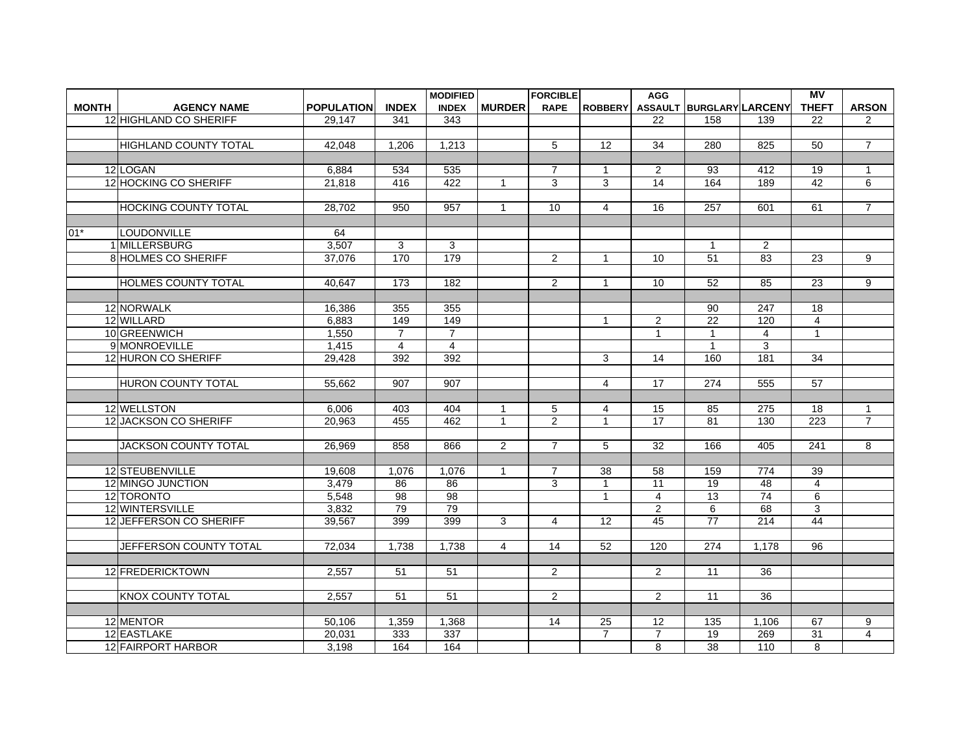|              |                              |                     |                | <b>MODIFIED</b> |                | <b>FORCIBLE</b>         |                         | <b>AGG</b>     |                          |                 | $\overline{MV}$ |                |
|--------------|------------------------------|---------------------|----------------|-----------------|----------------|-------------------------|-------------------------|----------------|--------------------------|-----------------|-----------------|----------------|
| <b>MONTH</b> | <b>AGENCY NAME</b>           | <b>POPULATION</b>   | <b>INDEX</b>   | <b>INDEX</b>    | <b>MURDER</b>  | <b>RAPE</b>             | <b>ROBBERY</b>          |                | ASSAULT BURGLARY LARCENY |                 | <b>THEFT</b>    | <b>ARSON</b>   |
|              | 12 HIGHLAND CO SHERIFF       | 29,147              | 341            | 343             |                |                         |                         | 22             | 158                      | 139             | 22              | $\overline{2}$ |
|              |                              |                     |                |                 |                |                         |                         |                |                          |                 |                 |                |
|              | <b>HIGHLAND COUNTY TOTAL</b> | 42.048              | 1.206          | 1.213           |                | 5                       | $\overline{12}$         | 34             | 280                      | 825             | 50              | $\overline{7}$ |
|              |                              |                     |                |                 |                |                         |                         |                |                          |                 |                 |                |
|              | 12 LOGAN                     | 6,884               | 534            | 535             |                | $\overline{7}$          | $\mathbf{1}$            | $\overline{2}$ | 93                       | 412             | 19              | $\mathbf{1}$   |
|              | 12 HOCKING CO SHERIFF        | 21,818              | 416            | 422             | $\mathbf{1}$   | 3                       | $\overline{3}$          | 14             | 164                      | 189             | 42              | 6              |
|              |                              |                     |                |                 |                |                         |                         |                |                          |                 |                 |                |
|              | <b>HOCKING COUNTY TOTAL</b>  | 28,702              | 950            | 957             | $\mathbf{1}$   | 10                      | 4                       | 16             | 257                      | 601             | 61              | $\overline{7}$ |
|              |                              |                     |                |                 |                |                         |                         |                |                          |                 |                 |                |
| $01*$        | LOUDONVILLE                  | 64                  |                |                 |                |                         |                         |                |                          |                 |                 |                |
|              | 1 MILLERSBURG                | 3,507               | 3              | 3               |                |                         |                         |                | $\mathbf{1}$             | $\overline{2}$  |                 |                |
|              | 8 HOLMES CO SHERIFF          | 37.076              | 170            | 179             |                | $\overline{2}$          | $\mathbf{1}$            | 10             | 51                       | 83              | 23              | 9              |
|              |                              |                     |                |                 |                |                         |                         |                |                          |                 |                 |                |
|              | <b>HOLMES COUNTY TOTAL</b>   | 40.647              | 173            | 182             |                | $\overline{2}$          | $\mathbf{1}$            | 10             | 52                       | 85              | 23              | 9              |
|              |                              |                     |                |                 |                |                         |                         |                |                          |                 |                 |                |
|              | 12 NORWALK                   | 16,386              | 355            | 355             |                |                         |                         |                | 90                       | 247             | 18              |                |
|              | 12 WILLARD                   | 6.883               | 149            | 149             |                |                         | $\mathbf{1}$            | $\overline{2}$ | $\overline{22}$          | 120             | $\overline{4}$  |                |
|              | 10 GREENWICH                 | 1,550               | $\overline{7}$ | $\overline{7}$  |                |                         |                         | $\mathbf{1}$   | $\mathbf{1}$             | 4               | $\mathbf{1}$    |                |
|              | 9 MONROEVILLE                | 1,415               | $\overline{4}$ | $\overline{4}$  |                |                         |                         |                | $\mathbf{1}$             | 3               |                 |                |
|              | 12 HURON CO SHERIFF          | 29,428              | 392            | 392             |                |                         | 3                       | 14             | 160                      | 181             | 34              |                |
|              |                              |                     |                |                 |                |                         |                         |                |                          |                 |                 |                |
|              | <b>HURON COUNTY TOTAL</b>    | 55.662              | 907            | 907             |                |                         | $\overline{\mathbf{4}}$ | 17             | 274                      | 555             | 57              |                |
|              |                              |                     |                |                 |                |                         |                         |                |                          |                 |                 |                |
|              | 12 WELLSTON                  | 6,006               | 403            | 404             | $\mathbf{1}$   | 5                       | 4                       | 15             | 85                       | 275             | 18              | $\mathbf{1}$   |
|              | <b>12 JACKSON CO SHERIFF</b> | 20,963              | 455            | 462             | $\mathbf{1}$   | $\overline{2}$          | $\mathbf{1}$            | 17             | $\overline{81}$          | 130             | 223             | $\overline{7}$ |
|              |                              |                     |                |                 |                |                         |                         |                |                          |                 |                 |                |
|              | <b>JACKSON COUNTY TOTAL</b>  | 26,969              | 858            | 866             | $\overline{2}$ | $\overline{7}$          | 5                       | 32             | 166                      | 405             | 241             | 8              |
|              |                              |                     |                |                 |                |                         |                         |                |                          |                 |                 |                |
|              | 12 STEUBENVILLE              | 19,608              | 1,076          | 1,076           | $\mathbf{1}$   | $\overline{7}$          | 38                      | 58             | 159                      | 774             | 39              |                |
|              | 12 MINGO JUNCTION            | 3.479               | 86             | 86              |                | 3                       | $\mathbf{1}$            | 11             | 19                       | 48              | 4               |                |
|              | 12 TORONTO                   | 5,548               | 98             | $\overline{98}$ |                |                         | $\mathbf{1}$            | $\overline{4}$ | 13                       | $\overline{74}$ | 6               |                |
|              | 12 WINTERSVILLE              | 3,832               | 79             | 79              |                |                         |                         | $\overline{2}$ | 6                        | 68              | 3               |                |
|              | 12 JEFFERSON CO SHERIFF      | 39.567              | 399            | 399             | 3              | 4                       | 12                      | 45             | $\overline{77}$          | 214             | 44              |                |
|              |                              |                     |                |                 |                |                         |                         |                |                          |                 |                 |                |
|              | JEFFERSON COUNTY TOTAL       | 72.034              | 1,738          | 1,738           | $\overline{4}$ | 14                      | 52                      | 120            | 274                      | 1.178           | 96              |                |
|              |                              |                     |                |                 |                |                         |                         |                |                          |                 |                 |                |
|              | 12 FREDERICKTOWN             | 2,557               | 51             | 51              |                | 2                       |                         | $\overline{2}$ | 11                       | 36              |                 |                |
|              |                              |                     |                |                 |                |                         |                         |                |                          |                 |                 |                |
|              | KNOX COUNTY TOTAL            | 2,557               | 51             | 51              |                | $\overline{\mathbf{c}}$ |                         | $\overline{2}$ | 11                       | 36              |                 |                |
|              |                              |                     |                |                 |                |                         |                         |                |                          |                 |                 |                |
|              | 12 MENTOR                    | 50.106              | 1,359          | 1,368           |                | $\overline{14}$         | 25                      | 12             | 135                      | 1,106           | 67              | 9              |
|              | 12 EASTLAKE                  | $\overline{20,}031$ | 333            | 337             |                |                         | $\overline{7}$          | $\overline{7}$ | 19                       | 269             | 31              | 4              |
|              | 12 FAIRPORT HARBOR           | 3,198               | 164            | 164             |                |                         |                         | 8              | 38                       | 110             | 8               |                |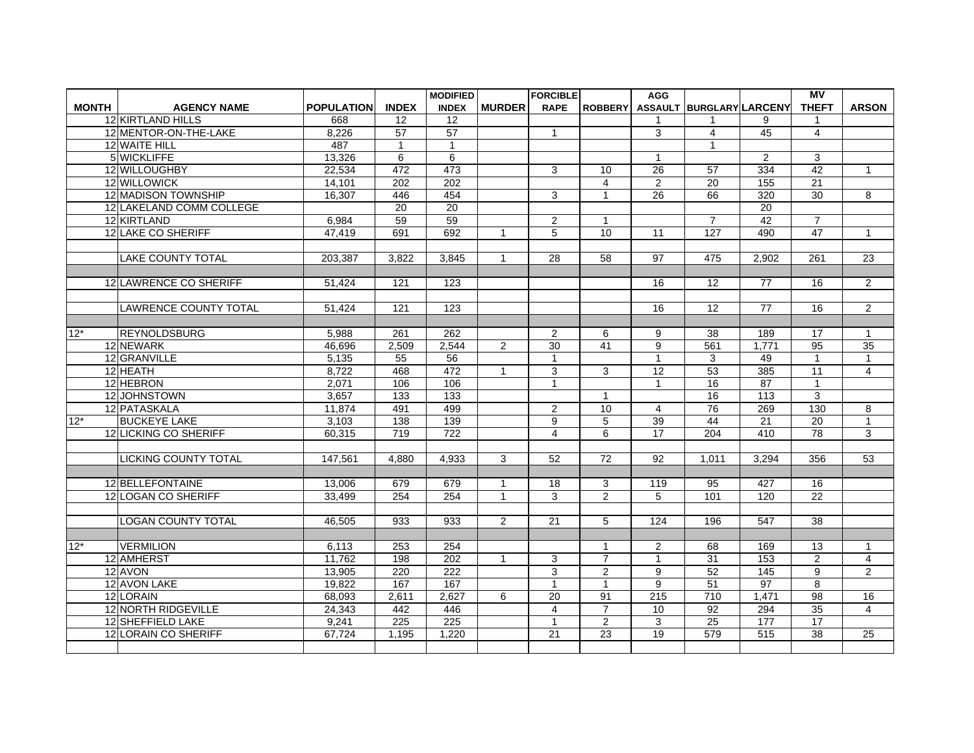|              |                              |                   |                 | <b>MODIFIED</b>  |                | <b>FORCIBLE</b> |                 | <b>AGG</b>       |                          |                  | MV              |                 |
|--------------|------------------------------|-------------------|-----------------|------------------|----------------|-----------------|-----------------|------------------|--------------------------|------------------|-----------------|-----------------|
| <b>MONTH</b> | <b>AGENCY NAME</b>           | <b>POPULATION</b> | <b>INDEX</b>    | <b>INDEX</b>     | <b>MURDER</b>  | <b>RAPE</b>     | <b>ROBBERY</b>  |                  | ASSAULT BURGLARY LARCENY |                  | <b>THEFT</b>    | <b>ARSON</b>    |
|              | 12 KIRTLAND HILLS            | 668               | 12              | 12               |                |                 |                 | 1                | 1                        | 9                | 1               |                 |
|              | 12 MENTOR-ON-THE-LAKE        | 8,226             | $\overline{57}$ | 57               |                | $\mathbf{1}$    |                 | 3                | $\overline{4}$           | 45               | $\overline{4}$  |                 |
|              | 12 WAITE HILL                | 487               | $\mathbf{1}$    | $\mathbf{1}$     |                |                 |                 |                  | $\mathbf{1}$             |                  |                 |                 |
|              | 5 WICKLIFFE                  | 13,326            | 6               | 6                |                |                 |                 | 1                |                          | $\overline{2}$   | 3               |                 |
|              | 12 WILLOUGHBY                | 22,534            | 472             | 473              |                | 3               | 10              | $\overline{26}$  | 57                       | 334              | 42              | $\overline{1}$  |
|              | 12 WILLOWICK                 | 14,101            | 202             | 202              |                |                 | $\overline{4}$  | $\overline{2}$   | 20                       | 155              | 21              |                 |
|              | 12 MADISON TOWNSHIP          | 16,307            | 446             | 454              |                | 3               | $\mathbf{1}$    | 26               | 66                       | 320              | $\overline{30}$ | 8               |
|              | 12 LAKELAND COMM COLLEGE     |                   | 20              | 20               |                |                 |                 |                  |                          | 20               |                 |                 |
|              | 12 KIRTLAND                  | 6,984             | 59              | 59               |                | $\overline{a}$  | $\mathbf{1}$    |                  | $\overline{7}$           | 42               | $\overline{7}$  |                 |
|              | 12 LAKE CO SHERIFF           | 47,419            | 691             | 692              | $\mathbf{1}$   | 5               | 10              | 11               | 127                      | 490              | 47              | $\overline{1}$  |
|              |                              |                   |                 |                  |                |                 |                 |                  |                          |                  |                 |                 |
|              | <b>LAKE COUNTY TOTAL</b>     | 203.387           | 3.822           | 3.845            | $\mathbf{1}$   | 28              | 58              | $\overline{97}$  | 475                      | 2.902            | 261             | $\overline{23}$ |
|              |                              |                   |                 |                  |                |                 |                 |                  |                          |                  |                 |                 |
|              | 12 LAWRENCE CO SHERIFF       | 51,424            | 121             | 123              |                |                 |                 | 16               | 12                       | 77               | 16              | $\overline{2}$  |
|              |                              |                   |                 |                  |                |                 |                 |                  |                          |                  |                 |                 |
|              | <b>LAWRENCE COUNTY TOTAL</b> | 51,424            | 121             | 123              |                |                 |                 | 16               | 12                       | 77               | 16              | 2               |
|              |                              |                   |                 |                  |                |                 |                 |                  |                          |                  |                 |                 |
| $12*$        | <b>REYNOLDSBURG</b>          | 5.988             | 261             | 262              |                | $\overline{2}$  | 6               | 9                | 38                       | 189              | 17              | $\mathbf{1}$    |
|              | 12 NEWARK                    | 46,696            | 2,509           | 2,544            | $\overline{2}$ | $\overline{30}$ | 41              | 9                | 561                      | 1,771            | $\overline{95}$ | 35              |
|              | 12 GRANVILLE                 | 5,135             | 55              | 56               |                | $\mathbf{1}$    |                 | $\mathbf{1}$     | 3                        | 49               | $\mathbf{1}$    | $\mathbf{1}$    |
|              | 12 HEATH                     | 8,722             | 468             | 472              | $\mathbf{1}$   | 3               | 3               | 12               | $\overline{53}$          | 385              | 11              | $\overline{4}$  |
|              | 12 HEBRON                    | 2,071             | 106             | 106              |                | $\mathbf{1}$    |                 | $\mathbf{1}$     | 16                       | 87               | $\mathbf{1}$    |                 |
|              | 12 JOHNSTOWN                 | 3.657             | 133             | $\overline{133}$ |                |                 | $\overline{1}$  |                  | 16                       | $\overline{113}$ | 3               |                 |
|              | 12 PATASKALA                 | 11,874            | 491             | 499              |                | $\overline{2}$  | 10              | 4                | $\overline{76}$          | 269              | 130             | 8               |
| $12*$        | <b>BUCKEYE LAKE</b>          | 3,103             | 138             | 139              |                | 9               | 5               | 39               | 44                       | $\overline{21}$  | 20              | $\mathbf{1}$    |
|              | 12 LICKING CO SHERIFF        | 60.315            | 719             | $\overline{722}$ |                | 4               | 6               | 17               | 204                      | 410              | $\overline{78}$ | 3               |
|              |                              |                   |                 |                  |                |                 |                 |                  |                          |                  |                 |                 |
|              | <b>LICKING COUNTY TOTAL</b>  | 147.561           | 4.880           | 4.933            | 3              | $\overline{52}$ | $\overline{72}$ | 92               | 1.011                    | 3.294            | 356             | $\overline{53}$ |
|              |                              |                   |                 |                  |                |                 |                 |                  |                          |                  |                 |                 |
|              | 12 BELLEFONTAINE             | 13,006            | 679             | 679              | 1              | 18              | 3               | 119              | 95                       | 427              | 16              |                 |
|              | 12 LOGAN CO SHERIFF          | 33,499            | 254             | 254              | $\mathbf{1}$   | 3               | $\overline{2}$  | 5                | 101                      | 120              | $\overline{22}$ |                 |
|              |                              |                   |                 |                  |                |                 |                 |                  |                          |                  |                 |                 |
|              | <b>LOGAN COUNTY TOTAL</b>    | 46.505            | 933             | 933              | $\overline{2}$ | 21              | 5               | 124              | 196                      | 547              | $\overline{38}$ |                 |
|              |                              |                   |                 |                  |                |                 |                 |                  |                          |                  |                 |                 |
| $12*$        | <b>VERMILION</b>             | 6,113             | 253             | 254              |                |                 | $\overline{1}$  | $\overline{2}$   | 68                       | 169              | 13              | $\mathbf{1}$    |
|              | 12 AMHERST                   | 11,762            | 198             | $\overline{202}$ | $\mathbf{1}$   | 3               | $\overline{7}$  | $\mathbf{1}$     | $\overline{31}$          | 153              | $\overline{2}$  | $\overline{4}$  |
|              | 12 AVON                      | 13,905            | 220             | 222              |                | 3               | 2               | 9                | $\overline{52}$          | 145              | 9               | 2               |
|              | 12 AVON LAKE                 | 19,822            | 167             | $\overline{167}$ |                | $\mathbf{1}$    | $\overline{1}$  | 9                | 51                       | 97               | 8               |                 |
|              | 12 LORAIN                    | 68,093            | 2,611           | 2,627            | 6              | $\overline{20}$ | 91              | $\overline{215}$ | $\overline{710}$         | 1,471            | 98              | 16              |
|              | 12 NORTH RIDGEVILLE          | 24,343            | 442             | 446              |                | $\overline{4}$  | $\overline{7}$  | 10               | 92                       | 294              | 35              | 4               |
|              | 12 SHEFFIELD LAKE            | 9.241             | 225             | $\overline{225}$ |                | $\mathbf{1}$    | 2               | 3                | 25                       | $\overline{177}$ | $\overline{17}$ |                 |
|              | 12 LORAIN CO SHERIFF         | 67,724            | 1.195           | 1,220            |                | $\overline{21}$ | 23              | 19               | 579                      | 515              | 38              | $\overline{25}$ |
|              |                              |                   |                 |                  |                |                 |                 |                  |                          |                  |                 |                 |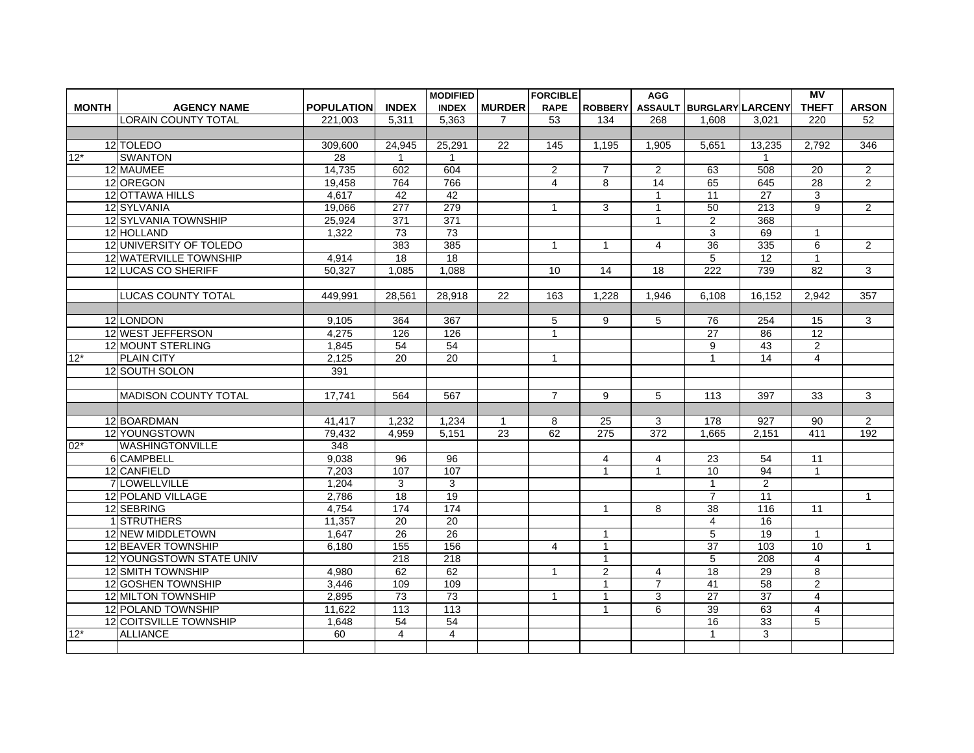|              |                             |                   |                  | <b>MODIFIED</b>  |                 | <b>FORCIBLE</b> |                  | <b>AGG</b>       |                          |                  | $\overline{MV}$ |                |
|--------------|-----------------------------|-------------------|------------------|------------------|-----------------|-----------------|------------------|------------------|--------------------------|------------------|-----------------|----------------|
| <b>MONTH</b> | <b>AGENCY NAME</b>          | <b>POPULATION</b> | <b>INDEX</b>     | <b>INDEX</b>     | <b>MURDER</b>   | <b>RAPE</b>     | <b>ROBBERY</b>   |                  | ASSAULT BURGLARY LARCENY |                  | <b>THEFT</b>    | <b>ARSON</b>   |
|              | LORAIN COUNTY TOTAL         | 221.003           | 5.311            | 5.363            | 7               | 53              | 134              | 268              | 1.608                    | 3.021            | 220             | 52             |
|              |                             |                   |                  |                  |                 |                 |                  |                  |                          |                  |                 |                |
|              | 12 TOLEDO                   | 309,600           | 24,945           | 25,291           | 22              | 145             | 1,195            | 1.905            | 5,651                    | 13,235           | 2,792           | 346            |
| $12*$        | <b>SWANTON</b>              | 28                | 1                | $\overline{1}$   |                 |                 |                  |                  |                          | 1                |                 |                |
|              | 12 MAUMEE                   | 14,735            | 602              | 604              |                 | $\overline{2}$  | $\overline{7}$   | $\overline{2}$   | 63                       | 508              | 20              | 2              |
|              | 12 OREGON                   | 19,458            | 764              | 766              |                 | $\overline{4}$  | 8                | 14               | 65                       | 645              | 28              | $\overline{2}$ |
|              | 12 OTTAWA HILLS             | 4,617             | 42               | 42               |                 |                 |                  | $\mathbf 1$      | 11                       | 27               | 3               |                |
|              | 12 SYLVANIA                 | 19,066            | 277              | 279              |                 | $\mathbf{1}$    | 3                | $\mathbf{1}$     | 50                       | 213              | $\overline{9}$  | $\overline{2}$ |
|              | <b>12 SYLVANIA TOWNSHIP</b> | 25,924            | 371              | 371              |                 |                 |                  | $\mathbf{1}$     | $\overline{2}$           | 368              |                 |                |
|              | 12 HOLLAND                  | 1,322             | 73               | 73               |                 |                 |                  |                  | 3                        | 69               | $\mathbf 1$     |                |
|              | 12 UNIVERSITY OF TOLEDO     |                   | 383              | 385              |                 | $\mathbf{1}$    | $\mathbf{1}$     | 4                | 36                       | 335              | $6\overline{6}$ | $\overline{2}$ |
|              | 12 WATERVILLE TOWNSHIP      | 4.914             | $\overline{18}$  | $\overline{18}$  |                 |                 |                  |                  | 5                        | $\overline{12}$  | $\mathbf{1}$    |                |
|              | 12 LUCAS CO SHERIFF         | 50,327            | 1,085            | 1,088            |                 | 10              | 14               | 18               | 222                      | 739              | 82              | 3              |
|              |                             |                   |                  |                  |                 |                 |                  |                  |                          |                  |                 |                |
|              | <b>LUCAS COUNTY TOTAL</b>   | 449.991           | 28.561           | 28.918           | 22              | 163             | 1.228            | 1.946            | 6.108                    | 16.152           | 2.942           | 357            |
|              |                             |                   |                  |                  |                 |                 |                  |                  |                          |                  |                 |                |
|              | 12 LONDON                   | 9,105             | 364              | 367              |                 | 5               | 9                | 5                | 76                       | 254              | 15              | 3              |
|              | 12 WEST JEFFERSON           | 4.275             | 126              | 126              |                 | $\mathbf{1}$    |                  |                  | $\overline{27}$          | 86               | $\overline{12}$ |                |
|              | 12 MOUNT STERLING           | 1,845             | 54               | 54               |                 |                 |                  |                  | 9                        | 43               | $\overline{2}$  |                |
| $12*$        | <b>PLAIN CITY</b>           | 2,125             | $\overline{20}$  | 20               |                 | $\mathbf{1}$    |                  |                  | $\mathbf{1}$             | 14               | $\overline{4}$  |                |
|              | 12 SOUTH SOLON              | 391               |                  |                  |                 |                 |                  |                  |                          |                  |                 |                |
|              |                             |                   |                  |                  |                 |                 |                  |                  |                          |                  |                 |                |
|              | <b>MADISON COUNTY TOTAL</b> | 17,741            | 564              | 567              |                 | $\overline{7}$  | 9                | 5                | $\overline{113}$         | 397              | $\overline{33}$ | 3              |
|              |                             |                   |                  |                  |                 |                 |                  |                  |                          |                  |                 |                |
|              | 12 BOARDMAN                 | 41,417            | 1,232            | 1,234            | $\mathbf 1$     | 8               | 25               | 3                | 178                      | 927              | 90              | $\overline{2}$ |
|              | 12 YOUNGSTOWN               | 79,432            | 4.959            | 5.151            | $\overline{23}$ | 62              | $\overline{275}$ | $\overline{372}$ | 1.665                    | 2.151            | 411             | 192            |
| $02*$        | <b>WASHINGTONVILLE</b>      | 348               |                  |                  |                 |                 |                  |                  |                          |                  |                 |                |
|              | 6 CAMPBELL                  | 9,038             | 96               | 96               |                 |                 | $\overline{4}$   | $\overline{4}$   | 23                       | $\overline{54}$  | 11              |                |
|              | 12 CANFIELD                 | 7.203             | 107              | 107              |                 |                 | $\mathbf{1}$     | $\mathbf{1}$     | 10                       | 94               | $\mathbf{1}$    |                |
|              | 7 LOWELLVILLE               | 1,204             | 3                | 3                |                 |                 |                  |                  | $\overline{1}$           | $\overline{2}$   |                 |                |
|              | 12 POLAND VILLAGE           | 2,786             | $\overline{18}$  | 19               |                 |                 |                  |                  | $\overline{7}$           | 11               |                 | $\mathbf{1}$   |
|              | 12 SEBRING                  | 4.754             | 174              | 174              |                 |                 | $\mathbf{1}$     | 8                | 38                       | 116              | 11              |                |
|              | 1STRUTHERS                  | 11,357            | 20               | $\overline{20}$  |                 |                 |                  |                  | 4                        | 16               |                 |                |
|              | 12 NEW MIDDLETOWN           | 1,647             | 26               | 26               |                 |                 | $\mathbf{1}$     |                  | 5                        | 19               | $\mathbf{1}$    |                |
|              | 12 BEAVER TOWNSHIP          | 6,180             | 155              | 156              |                 | 4               | $\mathbf{1}$     |                  | 37                       | 103              | 10              | $\mathbf{1}$   |
|              | 12 YOUNGSTOWN STATE UNIV    |                   | $\overline{218}$ | $\overline{218}$ |                 |                 | $\mathbf{1}$     |                  | 5                        | $\overline{208}$ | $\overline{4}$  |                |
|              | 12 SMITH TOWNSHIP           | 4,980             | 62               | 62               |                 | $\mathbf 1$     | $\overline{c}$   | $\overline{4}$   | $\overline{18}$          | $\overline{29}$  | 8               |                |
|              | 12 GOSHEN TOWNSHIP          | 3,446             | 109              | 109              |                 |                 | $\mathbf{1}$     | $\overline{7}$   | 41                       | $\overline{58}$  | 2               |                |
|              | 12 MILTON TOWNSHIP          | 2,895             | 73               | 73               |                 | $\mathbf{1}$    | $\mathbf{1}$     | 3                | $\overline{27}$          | $\overline{37}$  | $\overline{4}$  |                |
|              | 12 POLAND TOWNSHIP          | 11,622            | 113              | 113              |                 |                 | $\mathbf{1}$     | 6                | 39                       | 63               | $\overline{4}$  |                |
|              | 12 COITSVILLE TOWNSHIP      | 1,648             | 54               | 54               |                 |                 |                  |                  | 16                       | 33               | 5               |                |
| $12*$        | <b>ALLIANCE</b>             | 60                | $\overline{4}$   | $\overline{4}$   |                 |                 |                  |                  | $\mathbf{1}$             | 3                |                 |                |
|              |                             |                   |                  |                  |                 |                 |                  |                  |                          |                  |                 |                |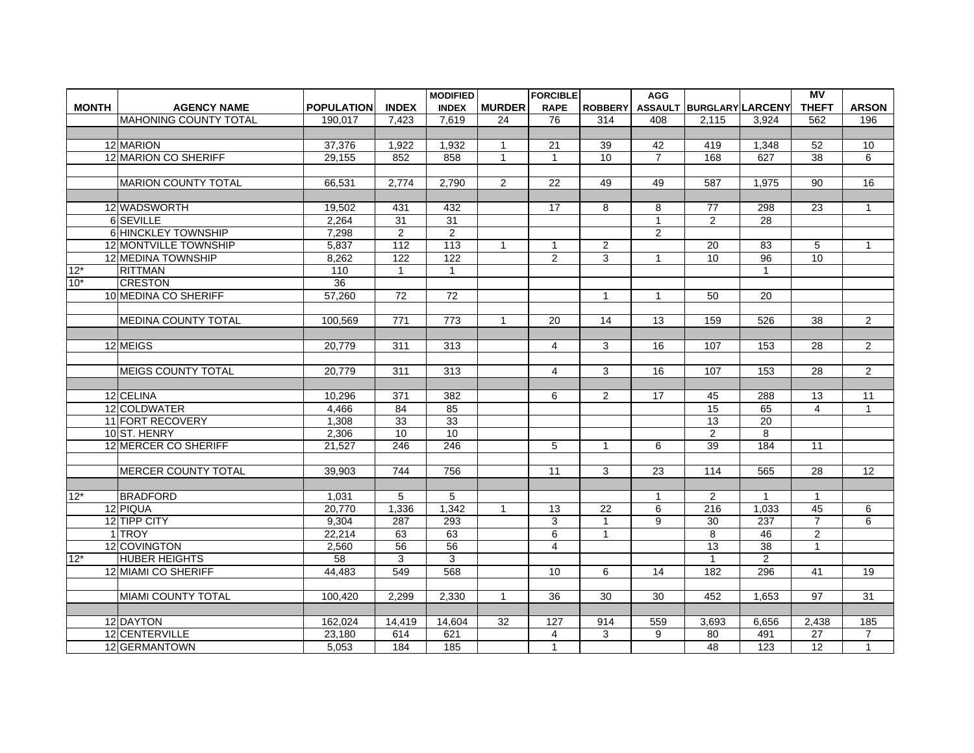|              |                            |                   |                  | <b>MODIFIED</b>  |                | <b>FORCIBLE</b> |                | <b>AGG</b>     |                          |                  | $\overline{MV}$ |                |
|--------------|----------------------------|-------------------|------------------|------------------|----------------|-----------------|----------------|----------------|--------------------------|------------------|-----------------|----------------|
| <b>MONTH</b> | <b>AGENCY NAME</b>         | <b>POPULATION</b> | <b>INDEX</b>     | <b>INDEX</b>     | <b>MURDER</b>  | <b>RAPE</b>     | <b>ROBBERY</b> |                | ASSAULT BURGLARY LARCENY |                  | <b>THEFT</b>    | <b>ARSON</b>   |
|              | MAHONING COUNTY TOTAL      | 190,017           | 7,423            | 7,619            | 24             | 76              | 314            | 408            | 2,115                    | 3,924            | 562             | 196            |
|              |                            |                   |                  |                  |                |                 |                |                |                          |                  |                 |                |
|              | 12 MARION                  | 37,376            | 1,922            | 1,932            | $\mathbf{1}$   | 21              | 39             | 42             | 419                      | 1.348            | 52              | 10             |
|              | 12 MARION CO SHERIFF       | 29,155            | 852              | 858              | 1              | $\mathbf{1}$    | 10             | $\overline{7}$ | 168                      | 627              | 38              | 6              |
|              |                            |                   |                  |                  |                |                 |                |                |                          |                  |                 |                |
|              | <b>MARION COUNTY TOTAL</b> | 66,531            | 2,774            | 2,790            | $\overline{2}$ | $\overline{22}$ | 49             | 49             | 587                      | 1.975            | $\overline{90}$ | 16             |
|              |                            |                   |                  |                  |                |                 |                |                |                          |                  |                 |                |
|              | 12 WADSWORTH               | 19,502            | 431              | 432              |                | 17              | 8              | 8              | 77                       | 298              | 23              | $\mathbf{1}$   |
|              | 6 SEVILLE                  | 2.264             | 31               | 31               |                |                 |                | $\mathbf{1}$   | $\overline{2}$           | 28               |                 |                |
|              | 6 HINCKLEY TOWNSHIP        | 7,298             | $\overline{2}$   | 2                |                |                 |                | $\overline{2}$ |                          |                  |                 |                |
|              | 12 MONTVILLE TOWNSHIP      | 5,837             | 112              | 113              | $\mathbf{1}$   | $\mathbf{1}$    | 2              |                | $\overline{20}$          | $\overline{83}$  | 5               | $\mathbf{1}$   |
|              | 12 MEDINA TOWNSHIP         | 8,262             | 122              | 122              |                | $\overline{2}$  | 3              | $\mathbf{1}$   | 10                       | 96               | 10              |                |
| $12*$        | <b>RITTMAN</b>             | 110               | $\mathbf{1}$     | $\mathbf{1}$     |                |                 |                |                |                          | $\mathbf{1}$     |                 |                |
| $10*$        | <b>CRESTON</b>             | 36                |                  |                  |                |                 |                |                |                          |                  |                 |                |
|              | 10 MEDINA CO SHERIFF       | 57,260            | 72               | 72               |                |                 | $\mathbf{1}$   | $\mathbf{1}$   | 50                       | 20               |                 |                |
|              |                            |                   |                  |                  |                |                 |                |                |                          |                  |                 |                |
|              | <b>MEDINA COUNTY TOTAL</b> | 100.569           | $\overline{771}$ | $\overline{773}$ | $\mathbf{1}$   | 20              | 14             | 13             | 159                      | 526              | $\overline{38}$ | $\overline{2}$ |
|              |                            |                   |                  |                  |                |                 |                |                |                          |                  |                 |                |
|              | 12 MEIGS                   | 20,779            | 311              | 313              |                | $\overline{4}$  | 3              | 16             | 107                      | 153              | 28              | $\overline{2}$ |
|              |                            |                   |                  |                  |                |                 |                |                |                          |                  |                 |                |
|              | <b>MEIGS COUNTY TOTAL</b>  | 20.779            | 311              | 313              |                | $\overline{4}$  | 3              | 16             | 107                      | 153              | 28              | $\overline{2}$ |
|              |                            |                   |                  |                  |                |                 |                |                |                          |                  |                 |                |
|              | 12 CELINA                  | 10,296            | 371              | 382              |                | 6               | 2              | 17             | 45                       | 288              | 13              | 11             |
|              | 12 COLDWATER               | 4,466             | 84               | 85               |                |                 |                |                | 15                       | 65               | $\overline{4}$  | $\mathbf{1}$   |
|              | 11 FORT RECOVERY           | 1,308             | $\overline{33}$  | 33               |                |                 |                |                | 13                       | $\overline{20}$  |                 |                |
|              | 10ST. HENRY                | 2,306             | 10               | 10               |                |                 |                |                | $\overline{2}$           | 8                |                 |                |
|              | 12 MERCER CO SHERIFF       | 21,527            | 246              | 246              |                | 5               | $\overline{1}$ | 6              | 39                       | 184              | 11              |                |
|              |                            |                   |                  |                  |                |                 |                |                |                          |                  |                 |                |
|              | <b>MERCER COUNTY TOTAL</b> | 39,903            | 744              | 756              |                | $\overline{11}$ | 3              | 23             | 114                      | 565              | $\overline{28}$ | 12             |
|              |                            |                   |                  |                  |                |                 |                |                |                          |                  |                 |                |
| $12*$        | <b>BRADFORD</b>            | 1,031             | 5                | 5                |                |                 |                | 1              | $\overline{2}$           | 1                | $\mathbf{1}$    |                |
|              | 12 PIQUA                   | 20,770            | 1,336            | 1,342            | $\mathbf{1}$   | 13              | 22             | 6              | 216                      | 1,033            | 45              | 6              |
|              | 12 TIPP CITY               | 9,304             | 287              | 293              |                | 3               | $\mathbf{1}$   | 9              | 30                       | $\overline{237}$ | $\overline{7}$  | 6              |
|              | 1 TROY                     | 22,214            | 63               | 63               |                | 6               | $\mathbf{1}$   |                | 8                        | 46               | $\mathbf{2}$    |                |
|              | 12 COVINGTON               | 2,560             | 56               | 56               |                | $\overline{4}$  |                |                | $\overline{13}$          | $\overline{38}$  | $\mathbf{1}$    |                |
| $12*$        | <b>HUBER HEIGHTS</b>       | 58                | 3                | 3                |                |                 |                |                | $\mathbf{1}$             | $\overline{2}$   |                 |                |
|              | 12 MIAMI CO SHERIFF        | 44,483            | 549              | 568              |                | 10              | 6              | 14             | 182                      | 296              | 41              | 19             |
|              |                            |                   |                  |                  |                |                 |                |                |                          |                  |                 |                |
|              | MIAMI COUNTY TOTAL         | 100,420           | 2,299            | 2,330            | 1              | 36              | 30             | 30             | 452                      | 1,653            | 97              | 31             |
|              |                            |                   |                  |                  |                |                 |                |                |                          |                  |                 |                |
|              | 12 DAYTON                  | 162,024           | 14,419           | 14,604           | 32             | 127             | 914            | 559            | 3,693                    | 6,656            | 2,438           | 185            |
|              | 12 CENTERVILLE             | 23,180            | 614              | 621              |                | 4               | 3              | 9              | 80                       | 491              | $\overline{27}$ | $\overline{7}$ |
|              | 12 GERMANTOWN              | 5,053             | 184              | 185              |                | $\mathbf{1}$    |                |                | 48                       | 123              | 12              | $\mathbf{1}$   |
|              |                            |                   |                  |                  |                |                 |                |                |                          |                  |                 |                |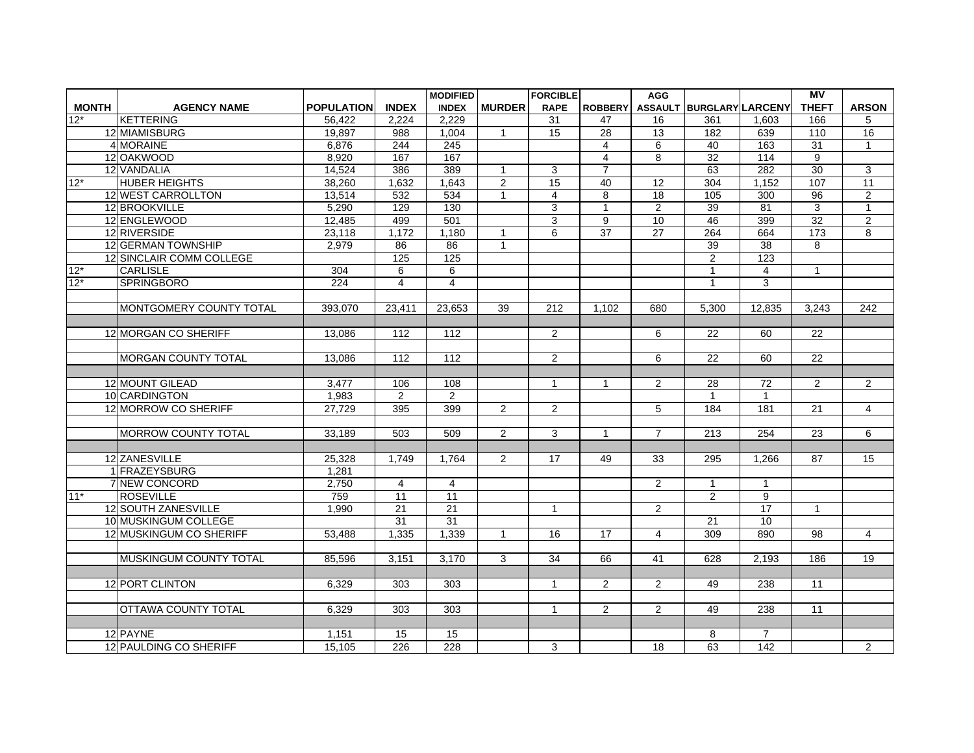|              |                                |                   |                         | <b>MODIFIED</b>         |                | <b>FORCIBLE</b>      |                 | <b>AGG</b>      |                          |                  | <b>MV</b>        |                 |
|--------------|--------------------------------|-------------------|-------------------------|-------------------------|----------------|----------------------|-----------------|-----------------|--------------------------|------------------|------------------|-----------------|
| <b>MONTH</b> | <b>AGENCY NAME</b>             | <b>POPULATION</b> | <b>INDEX</b>            | <b>INDEX</b>            | <b>MURDER</b>  | <b>RAPE</b>          | <b>ROBBERY</b>  |                 | ASSAULT BURGLARY LARCENY |                  | <b>THEFT</b>     | <b>ARSON</b>    |
| $12*$        | <b>KETTERING</b>               | 56,422            | 2,224                   | 2,229                   |                | 31                   | 47              | 16              | 361                      | 1,603            | 166              | 5               |
|              | 12 MIAMISBURG                  | 19.897            | 988                     | 1,004                   | $\mathbf{1}$   | 15                   | $\overline{28}$ | 13              | 182                      | 639              | 110              | 16              |
|              | 4 MORAINE                      | 6.876             | 244                     | $\overline{245}$        |                |                      | 4               | 6               | 40                       | 163              | $\overline{31}$  | $\overline{1}$  |
|              | 12 OAKWOOD                     | 8,920             | 167                     | 167                     |                |                      | 4               | 8               | 32                       | 114              | $\boldsymbol{9}$ |                 |
|              | 12 VANDALIA                    | 14,524            | 386                     | 389                     | $\mathbf{1}$   | 3                    | $\overline{7}$  |                 | 63                       | $\overline{282}$ | 30               | 3               |
| $12*$        | <b>HUBER HEIGHTS</b>           | 38,260            | 1,632                   | 1,643                   | $\overline{2}$ | 15                   | 40              | $\overline{12}$ | 304                      | 1,152            | 107              | $\overline{11}$ |
|              | 12 WEST CARROLLTON             | 13,514            | 532                     | 534                     | $\mathbf{1}$   | 4                    | 8               | 18              | 105                      | 300              | 96               | $\overline{2}$  |
|              | 12 BROOKVILLE                  | 5,290             | 129                     | 130                     |                | 3                    | $\overline{1}$  | 2               | 39                       | 81               | 3                | $\overline{1}$  |
|              | 12 ENGLEWOOD                   | 12.485            | 499                     | 501                     |                | 3                    | 9               | 10              | 46                       | 399              | 32               | $\overline{2}$  |
|              | 12 RIVERSIDE                   | 23,118            | 1,172                   | 1,180                   | 1              | 6                    | $\overline{37}$ | 27              | 264                      | 664              | 173              | 8               |
|              | 12 GERMAN TOWNSHIP             | 2,979             | 86                      | $\overline{86}$         | $\mathbf{1}$   |                      |                 |                 | 39                       | $\overline{38}$  | $\mathbf{8}$     |                 |
|              | 12 SINCLAIR COMM COLLEGE       |                   | 125                     | 125                     |                |                      |                 |                 | $\overline{2}$           | 123              |                  |                 |
| $12*$        | <b>CARLISLE</b>                | 304               | 6                       | 6                       |                |                      |                 |                 | $\mathbf{1}$             | $\overline{4}$   | $\mathbf{1}$     |                 |
| $12*$        | <b>SPRINGBORO</b>              | $\overline{224}$  | $\overline{\mathbf{4}}$ | $\overline{\mathbf{4}}$ |                |                      |                 |                 | $\mathbf{1}$             | $\overline{3}$   |                  |                 |
|              |                                |                   |                         |                         |                |                      |                 |                 |                          |                  |                  |                 |
|              | IMONTGOMERY COUNTY TOTAL       | 393.070           | 23.411                  | 23.653                  | 39             | 212                  | 1,102           | 680             | 5.300                    | 12.835           | 3.243            | 242             |
|              |                                |                   |                         |                         |                |                      |                 |                 |                          |                  |                  |                 |
|              | 12 MORGAN CO SHERIFF           | 13.086            | 112                     | 112                     |                | $\overline{2}$       |                 | 6               | 22                       | 60               | 22               |                 |
|              |                                |                   |                         |                         |                |                      |                 |                 |                          |                  |                  |                 |
|              | <b>MORGAN COUNTY TOTAL</b>     | 13,086            | 112                     | 112                     |                | $\overline{2}$       |                 | 6               | 22                       | 60               | 22               |                 |
|              |                                |                   |                         |                         |                |                      |                 |                 |                          |                  |                  |                 |
|              | 12 MOUNT GILEAD                | 3.477             | 106                     | 108                     |                | $\mathbf{1}$         | $\mathbf{1}$    | $\overline{2}$  | 28                       | 72               | 2                | $\overline{2}$  |
|              | 10 CARDINGTON                  | 1,983             | $\overline{2}$          | $\overline{2}$          |                |                      |                 |                 | $\mathbf{1}$             | $\mathbf{1}$     |                  |                 |
|              | 12 MORROW CO SHERIFF           | 27.729            | 395                     | 399                     | 2              | 2                    |                 | 5               | 184                      | 181              | 21               | $\overline{4}$  |
|              |                                |                   |                         |                         |                |                      |                 |                 |                          |                  |                  |                 |
|              | <b>MORROW COUNTY TOTAL</b>     | 33,189            | 503                     | 509                     | 2              | 3                    | $\mathbf{1}$    | $\overline{7}$  | $\overline{213}$         | 254              | $\overline{23}$  | 6               |
|              |                                |                   |                         |                         |                |                      |                 |                 |                          |                  |                  |                 |
|              | 12 ZANESVILLE                  | 25.328            | 1.749                   | 1.764                   | $\overline{2}$ | 17                   | 49              | 33              | 295                      | 1.266            | 87               | 15              |
|              | 1 FRAZEYSBURG                  | 1,281             |                         |                         |                |                      |                 |                 |                          |                  |                  |                 |
|              | <b>7 NEW CONCORD</b>           | 2,750             | 4                       | 4                       |                |                      |                 | 2               | $\mathbf{1}$             | $\mathbf{1}$     |                  |                 |
| $11*$        | <b>ROSEVILLE</b>               | 759               | 11                      | 11                      |                |                      |                 |                 | $\overline{2}$           | 9                |                  |                 |
|              | <b>12 SOUTH ZANESVILLE</b>     | 1,990             | $\overline{21}$         | 21                      |                | $\mathbf{1}$         |                 | $\overline{2}$  |                          | 17               | $\mathbf{1}$     |                 |
|              | 10 MUSKINGUM COLLEGE           |                   | $\overline{31}$         | $\overline{31}$         |                |                      |                 |                 | 21                       | 10               |                  |                 |
|              | 12 MUSKINGUM CO SHERIFF        | 53.488            | 1.335                   | 1,339                   | $\mathbf{1}$   | 16                   | 17              | 4               | 309                      | 890              | 98               | $\overline{4}$  |
|              |                                |                   |                         |                         |                |                      |                 |                 |                          |                  |                  |                 |
|              | <b>IMUSKINGUM COUNTY TOTAL</b> | 85.596            | 3.151                   | 3.170                   | 3              | 34                   | 66              | 41              | 628                      | 2.193            | 186              | 19              |
|              |                                |                   |                         |                         |                |                      |                 |                 |                          |                  |                  |                 |
|              | 12 PORT CLINTON                | 6,329             | 303                     | 303                     |                | $\mathbf{1}$         | 2               | $\overline{2}$  | 49                       | 238              | 11               |                 |
|              |                                |                   |                         |                         |                |                      |                 |                 |                          |                  |                  |                 |
|              | <b>IOTTAWA COUNTY TOTAL</b>    | 6.329             | 303                     | 303                     |                | $\blacktriangleleft$ | 2               | $\overline{2}$  | 49                       | 238              | 11               |                 |
|              |                                |                   |                         |                         |                |                      |                 |                 |                          |                  |                  |                 |
|              | 12 PAYNE                       | 1,151             | 15                      | 15                      |                |                      |                 |                 | 8                        | $\overline{7}$   |                  |                 |
|              | 12 PAULDING CO SHERIFF         | 15,105            | 226                     | 228                     |                | 3                    |                 | 18              | 63                       | 142              |                  | $\overline{2}$  |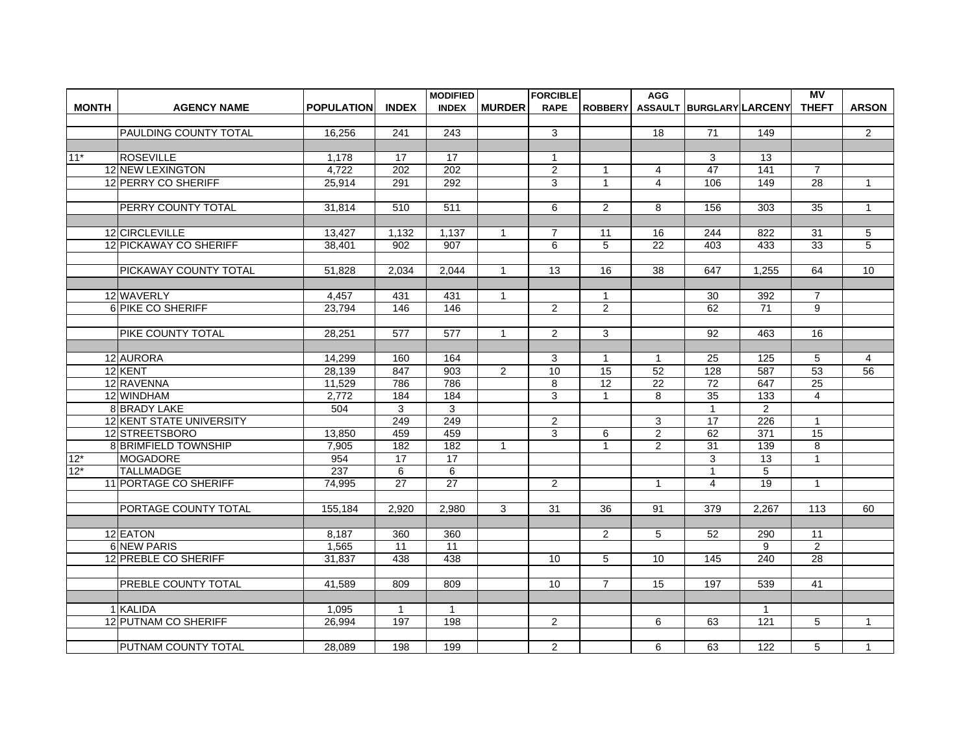|              |                              |                   |                  | <b>MODIFIED</b>  |               | <b>FORCIBLE</b> |                      | <b>AGG</b>         |                          |                | <b>MV</b>       |                |
|--------------|------------------------------|-------------------|------------------|------------------|---------------|-----------------|----------------------|--------------------|--------------------------|----------------|-----------------|----------------|
| <b>MONTH</b> | <b>AGENCY NAME</b>           | <b>POPULATION</b> | <b>INDEX</b>     | <b>INDEX</b>     | <b>MURDER</b> | <b>RAPE</b>     | <b>ROBBERY</b>       |                    | ASSAULT BURGLARY LARCENY |                | <b>THEFT</b>    | <b>ARSON</b>   |
|              |                              |                   |                  |                  |               |                 |                      |                    |                          |                |                 |                |
|              | PAULDING COUNTY TOTAL        | 16,256            | 241              | 243              |               | 3               |                      | 18                 | $\overline{71}$          | 149            |                 | $\overline{2}$ |
|              |                              |                   |                  |                  |               |                 |                      |                    |                          |                |                 |                |
| $11*$        | <b>ROSEVILLE</b>             | 1,178             | 17               | 17               |               | $\mathbf{1}$    |                      |                    | 3                        | 13             |                 |                |
|              | <b>12 NEW LEXINGTON</b>      | 4,722             | $\overline{202}$ | $\overline{202}$ |               | $\overline{2}$  | $\mathbf{1}$         | 4                  | $\overline{47}$          | 141            | $\overline{7}$  |                |
|              | 12 PERRY CO SHERIFF          | 25,914            | 291              | 292              |               | 3               | $\mathbf{1}$         | $\overline{4}$     | 106                      | 149            | 28              | $\mathbf{1}$   |
|              |                              |                   |                  |                  |               |                 |                      |                    |                          |                |                 |                |
|              | PERRY COUNTY TOTAL           | 31,814            | 510              | 511              |               | 6               | 2                    | 8                  | 156                      | 303            | $\overline{35}$ | $\mathbf{1}$   |
|              |                              |                   |                  |                  |               |                 |                      |                    |                          |                |                 |                |
|              | 12 CIRCLEVILLE               | 13,427            | 1,132            | 1,137            | 1             | $\overline{7}$  | 11                   | 16                 | 244                      | 822            | 31              | 5              |
|              | 12 PICKAWAY CO SHERIFF       | 38,401            | 902              | 907              |               | 6               | 5                    | 22                 | 403                      | 433            | $\overline{33}$ | 5              |
|              |                              |                   |                  |                  |               |                 |                      |                    |                          |                |                 |                |
|              | PICKAWAY COUNTY TOTAL        | 51,828            | 2.034            | 2.044            | $\mathbf{1}$  | 13              | 16                   | 38                 | 647                      | 1.255          | 64              | 10             |
|              |                              |                   |                  |                  |               |                 |                      |                    |                          |                |                 |                |
|              | 12 WAVERLY                   | 4,457             | 431              | 431              | $\mathbf{1}$  |                 | $\mathbf{1}$         |                    | 30                       | 392            | $\overline{7}$  |                |
|              | 6 PIKE CO SHERIFF            | 23,794            | 146              | $\overline{146}$ |               | $\overline{2}$  | 2                    |                    | 62                       | 71             | 9               |                |
|              |                              |                   |                  |                  |               |                 |                      |                    |                          |                |                 |                |
|              | PIKE COUNTY TOTAL            | 28,251            | 577              | 577              | $\mathbf{1}$  | $\overline{2}$  | 3                    |                    | 92                       | 463            | 16              |                |
|              | 12 AURORA                    | 14,299            | 160              | 164              |               | 3               |                      |                    | 25                       | 125            | 5               |                |
|              | 12 KENT                      | 28,139            | 847              | 903              | 2             | 10              | $\overline{1}$<br>15 | $\mathbf{1}$<br>52 | 128                      | 587            | 53              | 4<br>56        |
|              | 12 RAVENNA                   | 11,529            | 786              | 786              |               | 8               | $\overline{12}$      | $\overline{22}$    | $\overline{72}$          | 647            | $\overline{25}$ |                |
|              | 12 WINDHAM                   | 2,772             | 184              | 184              |               | 3               | $\mathbf{1}$         | 8                  | 35                       | 133            | $\overline{4}$  |                |
|              | 8 BRADY LAKE                 | 504               | 3                | 3                |               |                 |                      |                    | $\mathbf{1}$             | $\overline{2}$ |                 |                |
|              | 12 KENT STATE UNIVERSITY     |                   | 249              | 249              |               | $\overline{2}$  |                      | 3                  | $\overline{17}$          | 226            | $\mathbf{1}$    |                |
|              | 12 STREETSBORO               | 13,850            | 459              | 459              |               | 3               | 6                    | $\overline{2}$     | 62                       | 371            | 15              |                |
|              | 8 BRIMFIELD TOWNSHIP         | 7,905             | 182              | 182              | $\mathbf{1}$  |                 | $\mathbf{1}$         | $\overline{2}$     |                          | 139            | 8               |                |
| $12*$        | <b>MOGADORE</b>              | 954               | 17               | 17               |               |                 |                      |                    | 31<br>3                  | 13             | $\overline{1}$  |                |
| $12*$        | <b>TALLMADGE</b>             | 237               | 6                | 6                |               |                 |                      |                    | $\overline{1}$           | 5              |                 |                |
|              | <b>11 PORTAGE CO SHERIFF</b> | 74,995            | $\overline{27}$  | 27               |               | $\overline{c}$  |                      | $\mathbf{1}$       | $\overline{\mathbf{4}}$  | 19             | $\mathbf{1}$    |                |
|              |                              |                   |                  |                  |               |                 |                      |                    |                          |                |                 |                |
|              | PORTAGE COUNTY TOTAL         | 155,184           | 2,920            | 2,980            | 3             | 31              | 36                   | 91                 | 379                      | 2.267          | 113             | 60             |
|              |                              |                   |                  |                  |               |                 |                      |                    |                          |                |                 |                |
|              | 12 EATON                     | 8,187             | 360              | 360              |               |                 | 2                    | 5                  | 52                       | 290            | 11              |                |
|              | <b>6 NEW PARIS</b>           | 1,565             | $\overline{11}$  | $\overline{11}$  |               |                 |                      |                    |                          | 9              | $\overline{2}$  |                |
|              | 12 PREBLE CO SHERIFF         | 31,837            | 438              | 438              |               | 10              | 5                    | 10                 | 145                      | 240            | 28              |                |
|              |                              |                   |                  |                  |               |                 |                      |                    |                          |                |                 |                |
|              | PREBLE COUNTY TOTAL          | 41,589            | 809              | 809              |               | 10              | $\overline{7}$       | 15                 | 197                      | 539            | 41              |                |
|              |                              |                   |                  |                  |               |                 |                      |                    |                          |                |                 |                |
|              | 1 KALIDA                     | 1,095             | $\mathbf{1}$     | $\overline{1}$   |               |                 |                      |                    |                          | $\mathbf{1}$   |                 |                |
|              | 12 PUTNAM CO SHERIFF         | 26,994            | 197              | 198              |               | $\overline{2}$  |                      | 6                  | 63                       | 121            | 5               | $\mathbf{1}$   |
|              |                              |                   |                  |                  |               |                 |                      |                    |                          |                |                 |                |
|              | PUTNAM COUNTY TOTAL          | 28,089            | 198              | 199              |               | $\overline{2}$  |                      | 6                  | 63                       | 122            | 5               | $\mathbf{1}$   |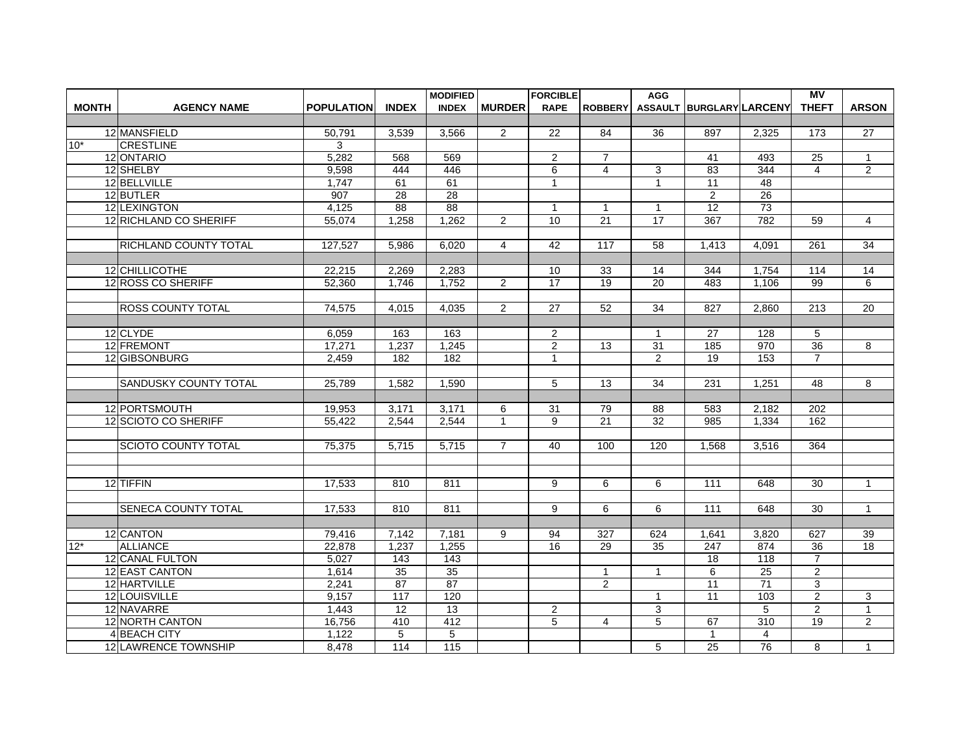|              |                             |                   |              | <b>MODIFIED</b>   |                | <b>FORCIBLE</b>    |                                   | <b>AGG</b>                      |                          |                  | $\overline{MV}$  |                |
|--------------|-----------------------------|-------------------|--------------|-------------------|----------------|--------------------|-----------------------------------|---------------------------------|--------------------------|------------------|------------------|----------------|
| <b>MONTH</b> | <b>AGENCY NAME</b>          | <b>POPULATION</b> | <b>INDEX</b> | <b>INDEX</b>      | <b>MURDER</b>  | <b>RAPE</b>        | <b>ROBBERY</b>                    |                                 | ASSAULT BURGLARY LARCENY |                  | <b>THEFT</b>     | <b>ARSON</b>   |
|              |                             |                   |              |                   |                |                    |                                   |                                 |                          |                  |                  |                |
|              | 12 MANSFIELD                | 50,791            | 3,539        | 3,566             | $\overline{2}$ | 22                 | 84                                | 36                              | 897                      | 2,325            | 173              | 27             |
| $10*$        | <b>CRESTLINE</b>            | 3                 |              |                   |                |                    |                                   |                                 |                          |                  |                  |                |
|              | 12 ONTARIO                  | 5,282             | 568          | 569               |                | $\overline{2}$     | 7                                 |                                 | 41                       | 493              | 25               | $\mathbf{1}$   |
|              | 12 SHELBY                   | 9,598             | 444          | 446               |                | 6                  | $\overline{4}$                    | 3                               | 83                       | 344              | $\overline{4}$   | $\overline{2}$ |
|              | 12 BELLVILLE                | 1,747             | 61           | 61                |                | $\mathbf{1}$       |                                   | $\mathbf{1}$                    | 11                       | $\overline{48}$  |                  |                |
|              | 12 BUTLER<br>12 LEXINGTON   | 907               | 28<br>88     | 28<br>88          |                |                    |                                   |                                 | 2<br>12                  | 26<br>73         |                  |                |
|              | 12 RICHLAND CO SHERIFF      | 4,125<br>55,074   | 1,258        | 1,262             | $\overline{2}$ | $\mathbf{1}$<br>10 | $\overline{1}$<br>$\overline{21}$ | $\mathbf{1}$<br>$\overline{17}$ | 367                      | 782              |                  | $\overline{4}$ |
|              |                             |                   |              |                   |                |                    |                                   |                                 |                          |                  | 59               |                |
|              | RICHLAND COUNTY TOTAL       | 127,527           | 5,986        | 6,020             | $\overline{4}$ | 42                 | 117                               | $\overline{58}$                 | 1,413                    | 4,091            | $\overline{261}$ | 34             |
|              |                             |                   |              |                   |                |                    |                                   |                                 |                          |                  |                  |                |
|              | 12 CHILLICOTHE              | 22,215            | 2,269        | 2,283             |                | 10                 | 33                                | 14                              | 344                      | 1,754            | 114              | 14             |
|              | 12 ROSS CO SHERIFF          | 52,360            | 1,746        | 1,752             | $\overline{2}$ | 17                 | 19                                | 20                              | 483                      | 1,106            | 99               | 6              |
|              |                             |                   |              |                   |                |                    |                                   |                                 |                          |                  |                  |                |
|              | <b>ROSS COUNTY TOTAL</b>    | 74.575            | 4.015        | 4.035             | 2              | 27                 | 52                                | 34                              | 827                      | 2.860            | 213              | 20             |
|              |                             |                   |              |                   |                |                    |                                   |                                 |                          |                  |                  |                |
|              | 12 CLYDE                    | 6.059             | 163          | 163               |                | $\overline{2}$     |                                   | $\mathbf{1}$                    | 27                       | 128              | 5                |                |
|              | 12 FREMONT                  | 17,271            | 1,237        | 1,245             |                | $\overline{2}$     | 13                                | 31                              | 185                      | 970              | 36               | 8              |
|              | 12 GIBSONBURG               | 2,459             | 182          | 182               |                | $\mathbf{1}$       |                                   | $\overline{2}$                  | 19                       | 153              | $\overline{7}$   |                |
|              |                             |                   |              |                   |                |                    |                                   |                                 |                          |                  |                  |                |
|              | SANDUSKY COUNTY TOTAL       | 25,789            | 1,582        | 1,590             |                | 5                  | 13                                | 34                              | 231                      | 1.251            | 48               | 8              |
|              |                             |                   |              |                   |                |                    |                                   |                                 |                          |                  |                  |                |
|              | 12 PORTSMOUTH               | 19,953            | 3,171        | 3,171             | 6              | 31                 | 79                                | 88                              | 583                      | 2,182            | 202              |                |
|              | 12 SCIOTO CO SHERIFF        | 55,422            | 2.544        | 2,544             | $\mathbf{1}$   | 9                  | $\overline{21}$                   | 32                              | 985                      | 1,334            | 162              |                |
|              |                             |                   |              |                   |                |                    |                                   |                                 |                          |                  |                  |                |
|              | SCIOTO COUNTY TOTAL         | 75,375            | 5,715        | 5,715             | $\overline{7}$ | 40                 | 100                               | 120                             | 1,568                    | 3,516            | 364              |                |
|              |                             |                   |              |                   |                |                    |                                   |                                 |                          |                  |                  |                |
|              |                             |                   |              |                   |                |                    |                                   |                                 |                          |                  |                  |                |
|              | 12 TIFFIN                   | 17,533            | 810          | 811               |                | 9                  | 6                                 | 6                               | 111                      | 648              | 30               | $\mathbf{1}$   |
|              |                             |                   |              |                   |                |                    |                                   |                                 |                          |                  |                  |                |
|              | <b>SENECA COUNTY TOTAL</b>  | 17,533            | 810          | 811               |                | 9                  | 6                                 | 6                               | 111                      | 648              | 30               | $\mathbf{1}$   |
|              |                             |                   |              |                   |                |                    |                                   |                                 |                          |                  |                  |                |
|              | 12 CANTON                   | 79,416            | 7,142        | 7,181             | 9              | 94                 | 327                               | 624                             | 1,641                    | 3,820            | 627              | 39             |
| $12*$        | <b>ALLIANCE</b>             | 22,878            | 1,237        | 1,255             |                | 16                 | 29                                | 35                              | 247                      | 874              | 36               | 18             |
|              | 12 CANAL FULTON             | 5,027             | 143          | 143               |                |                    |                                   |                                 | 18                       | 118              | $\overline{7}$   |                |
|              | 12 EAST CANTON              | 1,614             | 35           | 35                |                |                    | $\mathbf{1}$                      | $\mathbf{1}$                    | 6                        | 25               | $\overline{2}$   |                |
|              | 12 HARTVILLE                | 2,241             | 87           | 87                |                |                    | 2                                 |                                 | 11                       | $\overline{71}$  | 3                |                |
|              | 12 LOUISVILLE               | 9,157             | 117          | 120               |                |                    |                                   | $\mathbf{1}$                    | $\overline{11}$          | 103              | $\overline{2}$   | $\overline{3}$ |
|              | 12 NAVARRE                  | 1,443             | 12           | 13                |                | $\overline{2}$     |                                   | 3                               |                          | 5                | $\overline{2}$   | $\mathbf{1}$   |
|              | 12 NORTH CANTON             | 16,756            | 410          | 412               |                | 5                  | $\overline{4}$                    | 5                               | 67                       | $\overline{310}$ | 19               | 2              |
|              | 4BEACH CITY                 | 1,122             | 5            | 5                 |                |                    |                                   |                                 | $\mathbf{1}$             | 4                |                  |                |
|              | <b>12 LAWRENCE TOWNSHIP</b> | 8,478             | 114          | $\frac{115}{115}$ |                |                    |                                   | 5                               | 25                       | 76               | 8                | $\mathbf{1}$   |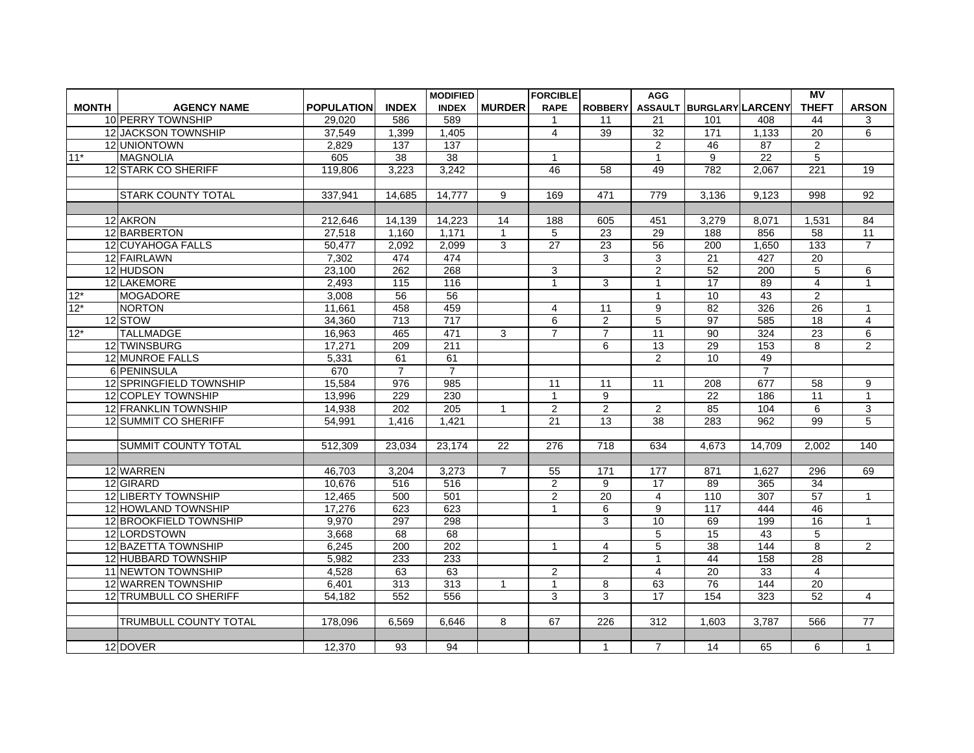|              |                              |                   |                  | <b>MODIFIED</b> |                | <b>FORCIBLE</b> |                  | <b>AGG</b>       |                          |                 | $\overline{MV}$  |                         |
|--------------|------------------------------|-------------------|------------------|-----------------|----------------|-----------------|------------------|------------------|--------------------------|-----------------|------------------|-------------------------|
| <b>MONTH</b> | <b>AGENCY NAME</b>           | <b>POPULATION</b> | <b>INDEX</b>     | <b>INDEX</b>    | <b>MURDER</b>  | <b>RAPE</b>     | <b>ROBBERY</b>   |                  | ASSAULT BURGLARY LARCENY |                 | <b>THEFT</b>     | <b>ARSON</b>            |
|              | 10 PERRY TOWNSHIP            | 29,020            | 586              | 589             |                |                 | 11               | 21               | 101                      | 408             | 44               | 3                       |
|              | 12 JACKSON TOWNSHIP          | 37,549            | 1,399            | 1,405           |                | 4               | 39               | 32               | 171                      | 1,133           | 20               | 6                       |
|              | 12 UNIONTOWN                 | 2,829             | 137              | 137             |                |                 |                  | 2                | 46                       | $\overline{87}$ | $\overline{2}$   |                         |
| $11*$        | <b>MAGNOLIA</b>              | 605               | 38               | 38              |                | $\mathbf{1}$    |                  | $\mathbf{1}$     | 9                        | 22              | 5                |                         |
|              | 12 STARK CO SHERIFF          | 119,806           | 3,223            | 3,242           |                | 46              | 58               | 49               | 782                      | 2,067           | $\overline{221}$ | 19                      |
|              |                              |                   |                  |                 |                |                 |                  |                  |                          |                 |                  |                         |
|              | <b>STARK COUNTY TOTAL</b>    | 337,941           | 14,685           | 14,777          | 9              | 169             | 471              | 779              | 3,136                    | 9,123           | 998              | 92                      |
|              |                              |                   |                  |                 |                |                 |                  |                  |                          |                 |                  |                         |
|              | 12 AKRON                     | 212,646           | 14.139           | 14.223          | 14             | 188             | 605              | 451              | 3,279                    | 8.071           | 1,531            | 84                      |
|              | 12 BARBERTON                 | 27,518            | 1,160            | 1,171           | 1              | 5               | 23               | 29               | 188                      | 856             | 58               | 11                      |
|              | 12 CUYAHOGA FALLS            | 50.477            | 2,092            | 2,099           | 3              | $\overline{27}$ | $\overline{23}$  | 56               | 200                      | 1,650           | 133              | $\overline{7}$          |
|              | 12 FAIRLAWN                  | 7,302             | 474              | 474             |                |                 | 3                | 3                | 21                       | 427             | 20               |                         |
|              | 12 HUDSON                    | 23,100            | 262              | 268             |                | 3               |                  | 2                | 52                       | 200             | 5                | 6                       |
|              | 12 LAKEMORE                  | 2.493             | $\overline{115}$ | 116             |                | $\overline{1}$  | 3                | $\mathbf{1}$     | 17                       | 89              | $\overline{4}$   | $\overline{1}$          |
| $12*$        | <b>MOGADORE</b>              | 3,008             | 56               | 56              |                |                 |                  | 1                | 10                       | 43              | $\overline{c}$   |                         |
| $12*$        | NORTON                       | 11,661            | 458              | 459             |                | $\overline{4}$  | 11               | 9                | 82                       | 326             | $\overline{26}$  | $\mathbf{1}$            |
|              | 12 STOW                      | 34,360            | 713              | 717             |                | 6               | $\overline{2}$   | 5                | 97                       | 585             | 18               | $\overline{\mathbf{4}}$ |
| $12*$        | <b>TALLMADGE</b>             | 16,963            | 465              | 471             | 3              | $\overline{7}$  | $\overline{7}$   | 11               | 90                       | 324             | 23               | 6                       |
|              | 12 TWINSBURG                 | 17,271            | 209              | 211             |                |                 | 6                | $\overline{13}$  | 29                       | 153             | 8                | $\overline{2}$          |
|              | 12 MUNROE FALLS              | 5,331             | 61               | 61              |                |                 |                  | $\overline{2}$   | 10                       | 49              |                  |                         |
|              | 6 PENINSULA                  | 670               | $\overline{7}$   | $\overline{7}$  |                |                 |                  |                  |                          | $\overline{7}$  |                  |                         |
|              | 12 SPRINGFIELD TOWNSHIP      | 15,584            | 976              | 985             |                | 11              | 11               | 11               | 208                      | 677             | $\overline{58}$  | 9                       |
|              | 12 COPLEY TOWNSHIP           | 13,996            | 229              | 230             |                | $\mathbf{1}$    | 9                |                  | 22                       | 186             | 11               | $\mathbf{1}$            |
|              | 12 FRANKLIN TOWNSHIP         | 14,938            | 202              | 205             | $\mathbf 1$    | $\overline{c}$  | $\overline{c}$   | $\overline{2}$   | 85                       | 104             | 6                | 3                       |
|              | 12 SUMMIT CO SHERIFF         | 54,991            | 1,416            | 1,421           |                | $\overline{21}$ | 13               | $\overline{38}$  | 283                      | 962             | 99               | $\overline{5}$          |
|              |                              |                   |                  |                 |                |                 |                  |                  |                          |                 |                  |                         |
|              | <b>SUMMIT COUNTY TOTAL</b>   | 512,309           | 23,034           | 23,174          | 22             | 276             | 718              | 634              | 4.673                    | 14.709          | 2.002            | 140                     |
|              |                              |                   |                  |                 |                |                 |                  |                  |                          |                 |                  |                         |
|              | 12 WARREN                    | 46,703            | 3,204            | 3,273           | $\overline{7}$ | 55              | 171              | 177              | 871                      | 1,627           | 296              | 69                      |
|              | 12 GIRARD                    | 10.676            | 516              | 516             |                | $\overline{c}$  | 9                | 17               | 89                       | 365             | $\overline{34}$  |                         |
|              | 12 LIBERTY TOWNSHIP          | 12,465            | 500              | 501             |                | $\overline{2}$  | 20               | 4                | 110                      | 307             | 57               | $\mathbf{1}$            |
|              | 12 HOWLAND TOWNSHIP          | 17,276            | 623              | 623             |                | $\mathbf{1}$    | 6                | 9                | 117                      | 444             | 46               |                         |
|              | 12 BROOKFIELD TOWNSHIP       | 9,970             | 297              | 298             |                |                 | 3                | 10               | 69                       | 199             | $\overline{16}$  | $\mathbf{1}$            |
|              | 12 LORDSTOWN                 | 3,668             | 68               | 68              |                |                 |                  | 5                | 15                       | 43              | 5                |                         |
|              | 12 BAZETTA TOWNSHIP          | 6,245             | 200              | 202             |                | $\mathbf{1}$    | $\overline{4}$   | 5                | 38                       | 144             | 8                | $\overline{2}$          |
|              | 12 HUBBARD TOWNSHIP          | 5,982             | 233              | 233             |                |                 | 2                | $\mathbf{1}$     | 44                       | 158             | 28               |                         |
|              | 11 NEWTON TOWNSHIP           | 4,528             | 63               | 63              |                | $\overline{c}$  |                  | $\overline{4}$   | 20                       | 33              | $\overline{4}$   |                         |
|              | 12 WARREN TOWNSHIP           | 6,401             | 313              | 313             | $\mathbf{1}$   | $\mathbf{1}$    | 8                | 63               | 76                       | 144             | 20               |                         |
|              | 12 TRUMBULL CO SHERIFF       | 54,182            | 552              | 556             |                | 3               | 3                | 17               | 154                      | 323             | 52               | $\overline{4}$          |
|              |                              |                   |                  |                 |                |                 |                  |                  |                          |                 |                  |                         |
|              | <b>TRUMBULL COUNTY TOTAL</b> | 178,096           | 6.569            | 6.646           | 8              | 67              | $\overline{226}$ | $\overline{312}$ | 1.603                    | 3.787           | 566              | $\overline{77}$         |
|              |                              |                   |                  |                 |                |                 |                  |                  |                          |                 |                  |                         |
|              | 12 DOVER                     | 12,370            | 93               | 94              |                |                 | $\mathbf{1}$     | $\overline{7}$   | 14                       | 65              | 6                | $\mathbf{1}$            |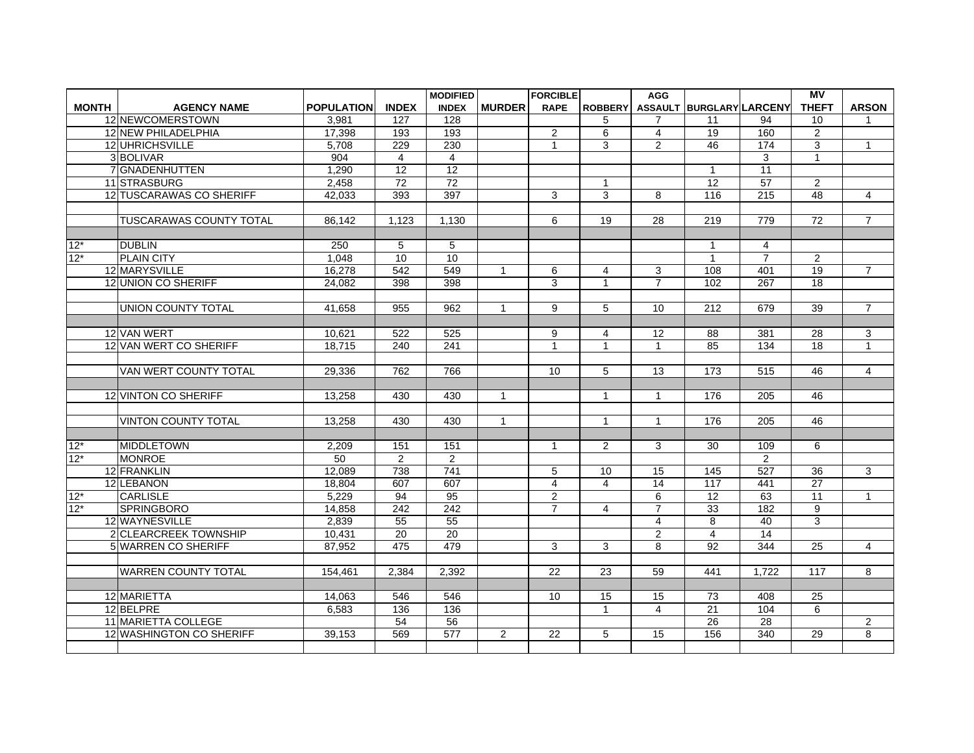|              |                            |                   |                  | <b>MODIFIED</b> |                | <b>FORCIBLE</b> |                | <b>AGG</b>     |                          |                 | <b>MV</b>       |                |
|--------------|----------------------------|-------------------|------------------|-----------------|----------------|-----------------|----------------|----------------|--------------------------|-----------------|-----------------|----------------|
| <b>MONTH</b> | <b>AGENCY NAME</b>         | <b>POPULATION</b> | <b>INDEX</b>     | <b>INDEX</b>    | <b>MURDER</b>  | <b>RAPE</b>     | <b>ROBBERY</b> |                | ASSAULT BURGLARY LARCENY |                 | <b>THEFT</b>    | <b>ARSON</b>   |
|              | 12 NEWCOMERSTOWN           | 3,981             | 127              | 128             |                |                 | 5              | 7              | 11                       | 94              | 10              | 1              |
|              | 12 NEW PHILADELPHIA        | 17,398            | 193              | 193             |                | $\overline{2}$  | 6              | 4              | 19                       | 160             | $\overline{2}$  |                |
|              | 12 UHRICHSVILLE            | 5,708             | 229              | 230             |                | $\mathbf{1}$    | $\overline{3}$ | $\overline{2}$ | 46                       | 174             | $\overline{3}$  | $\mathbf{1}$   |
|              | 3BOLIVAR                   | 904               | 4                | $\overline{4}$  |                |                 |                |                |                          | 3               | $\mathbf 1$     |                |
|              | 7 GNADENHUTTEN             | 1,290             | $\overline{12}$  | 12              |                |                 |                |                | $\mathbf{1}$             | $\overline{11}$ |                 |                |
|              | 11 STRASBURG               | 2,458             | 72               | 72              |                |                 | $\mathbf{1}$   |                | 12                       | $\overline{57}$ | $\overline{2}$  |                |
|              | 12 TUSCARAWAS CO SHERIFF   | 42,033            | 393              | 397             |                | 3               | 3              | 8              | 116                      | 215             | $\overline{48}$ | $\overline{4}$ |
|              |                            |                   |                  |                 |                |                 |                |                |                          |                 |                 |                |
|              | TUSCARAWAS COUNTY TOTAL    | 86,142            | 1,123            | 1,130           |                | 6               | 19             | 28             | 219                      | 779             | $\overline{72}$ | $\overline{7}$ |
|              |                            |                   |                  |                 |                |                 |                |                |                          |                 |                 |                |
| $12*$        | <b>DUBLIN</b>              | 250               | 5                | 5               |                |                 |                |                | $\mathbf{1}$             | $\overline{4}$  |                 |                |
| $12*$        | <b>PLAIN CITY</b>          | 1,048             | 10               | 10              |                |                 |                |                | $\mathbf{1}$             | $\overline{7}$  | $\overline{2}$  |                |
|              | 12 MARYSVILLE              | 16,278            | 542              | 549             | 1              | 6               | 4              | 3              | 108                      | 401             | $\overline{19}$ | $\overline{7}$ |
|              | 12 UNION CO SHERIFF        | 24,082            | 398              | 398             |                | 3               | $\mathbf{1}$   | $\overline{7}$ | 102                      | 267             | $\overline{18}$ |                |
|              |                            |                   |                  |                 |                |                 |                |                |                          |                 |                 |                |
|              | UNION COUNTY TOTAL         | 41.658            | 955              | 962             | 1              | 9               | 5              | 10             | 212                      | 679             | $\overline{39}$ | $\overline{7}$ |
|              |                            |                   |                  |                 |                |                 |                |                |                          |                 |                 |                |
|              | 12 VAN WERT                | 10,621            | 522              | 525             |                | 9               | 4              | 12             | 88                       | 381             | 28              | 3              |
|              | 12 VAN WERT CO SHERIFF     | 18.715            | $\overline{240}$ | 241             |                | $\mathbf{1}$    | $\mathbf{1}$   | $\mathbf{1}$   | 85                       | 134             | $\overline{18}$ | $\mathbf{1}$   |
|              |                            |                   |                  |                 |                |                 |                |                |                          |                 |                 |                |
|              | VAN WERT COUNTY TOTAL      | 29,336            | 762              | 766             |                | 10              | 5              | 13             | 173                      | 515             | 46              | $\overline{4}$ |
|              |                            |                   |                  |                 |                |                 |                |                |                          |                 |                 |                |
|              | 12 VINTON CO SHERIFF       | 13,258            | 430              | 430             | $\mathbf{1}$   |                 | $\mathbf{1}$   | 1              | 176                      | 205             | 46              |                |
|              |                            |                   |                  |                 |                |                 |                |                |                          |                 |                 |                |
|              | <b>VINTON COUNTY TOTAL</b> | 13.258            | 430              | 430             | $\mathbf{1}$   |                 | $\mathbf{1}$   | $\mathbf{1}$   | 176                      | 205             | 46              |                |
|              |                            |                   |                  |                 |                |                 |                |                |                          |                 |                 |                |
| $12*$        | <b>MIDDLETOWN</b>          | 2,209             | 151              | 151             |                | 1               | $\overline{2}$ | 3              | 30                       | 109             | 6               |                |
| $12*$        | <b>MONROE</b>              | 50                | $\overline{2}$   | 2               |                |                 |                |                |                          | 2               |                 |                |
|              | 12 FRANKLIN                | 12,089            | 738              | 741             |                | 5               | 10             | 15             | 145                      | 527             | 36              | 3              |
|              | 12 LEBANON                 | 18,804            | 607              | 607             |                | 4               | $\overline{4}$ | 14             | 117                      | 441             | $\overline{27}$ |                |
| $12*$        | <b>CARLISLE</b>            | 5,229             | 94               | $\overline{95}$ |                | $\overline{2}$  |                | 6              | 12                       | 63              | $\overline{11}$ | $\mathbf{1}$   |
| $12*$        | <b>SPRINGBORO</b>          | 14,858            | 242              | 242             |                | $\overline{7}$  | $\overline{4}$ | $\overline{7}$ | 33                       | 182             | 9               |                |
|              | 12 WAYNESVILLE             | 2,839             | 55               | 55              |                |                 |                | 4              | 8                        | 40              | 3               |                |
|              | 2 CLEARCREEK TOWNSHIP      | 10,431            | 20               | $\overline{20}$ |                |                 |                | $\overline{2}$ | $\overline{4}$           | $\overline{14}$ |                 |                |
|              | 5 WARREN CO SHERIFF        | 87,952            | 475              | 479             |                | 3               | 3              | 8              | 92                       | 344             | $\overline{25}$ | $\overline{4}$ |
|              |                            |                   |                  |                 |                |                 |                |                |                          |                 |                 |                |
|              | <b>WARREN COUNTY TOTAL</b> | 154,461           | 2.384            | 2,392           |                | 22              | 23             | 59             | 441                      | 1.722           | 117             | 8              |
|              |                            |                   |                  |                 |                |                 |                |                |                          |                 |                 |                |
|              | 12 MARIETTA                | 14,063            | 546              | 546             |                | 10              | 15             | 15             | 73                       | 408             | 25              |                |
|              | 12 BELPRE                  | 6.583             | 136              | 136             |                |                 | $\mathbf{1}$   | $\overline{4}$ | $\overline{21}$          | 104             | 6               |                |
|              | 11 MARIETTA COLLEGE        |                   | 54               | 56              |                |                 |                |                | $\overline{26}$          | $\overline{28}$ |                 | $\overline{2}$ |
|              | 12 WASHINGTON CO SHERIFF   | 39,153            | 569              | 577             | $\overline{2}$ | 22              | 5              | 15             | 156                      | 340             | 29              | 8              |
|              |                            |                   |                  |                 |                |                 |                |                |                          |                 |                 |                |